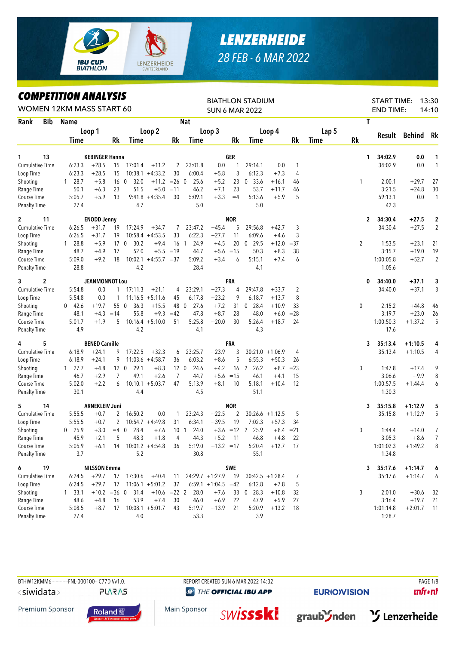

## *LENZERHEIDE 28 FEB - 6 MAR 2022*

## *COMPETITION ANALYSIS*

|                                   | <b><i>COMPEILION ANALYSIS</i></b><br>WOMEN 12KM MASS START 60 |                      |                                  |                 |                          |                         |                 |                          |                       |            | <b>BIATHLON STADIUM</b><br><b>SUN 6 MAR 2022</b> |                   |                                |             |                | <b>START TIME:</b><br><b>END TIME:</b> |               | 13:30<br>14:10    |
|-----------------------------------|---------------------------------------------------------------|----------------------|----------------------------------|-----------------|--------------------------|-------------------------|-----------------|--------------------------|-----------------------|------------|--------------------------------------------------|-------------------|--------------------------------|-------------|----------------|----------------------------------------|---------------|-------------------|
| Rank<br><b>Bib</b>                |                                                               | <b>Name</b>          |                                  |                 |                          |                         |                 | <b>Nat</b>               |                       |            |                                                  |                   |                                |             |                | T                                      |               |                   |
|                                   |                                                               |                      | Loop 1                           |                 |                          | Loop 2                  |                 |                          | Loop 3                |            |                                                  | Loop 4            |                                | Lap 5       |                |                                        |               |                   |
|                                   |                                                               | Time                 |                                  | Rk              | Time                     |                         | Rk              | Time                     |                       | Rk         | Time                                             |                   | Rk                             | <b>Time</b> | <b>Rk</b>      |                                        | Result Behind | Rk                |
|                                   |                                                               |                      |                                  |                 |                          |                         |                 |                          |                       |            |                                                  |                   |                                |             |                |                                        |               |                   |
| 13<br>1<br><b>Cumulative Time</b> |                                                               | 6:23.3               | <b>KEBINGER Hanna</b><br>$+28.5$ | 15              | 17:01.4                  | $+11.2$                 |                 | 23:01.8                  | 0.0                   | GER<br>1   | 29:14.1                                          | 0.0               |                                |             |                | 34:02.9<br>1<br>34:02.9                | 0.0<br>0.0    | 1<br>$\mathbf{1}$ |
| Loop Time                         |                                                               | 6:23.3               | $+28.5$                          | 15              |                          | $10:38.1 + 4:33.2$      | 2<br>30         | 6:00.4                   | $+5.8$                | 3          | 6:12.3                                           | $+7.3$            | $\mathbf{1}$<br>$\overline{4}$ |             |                |                                        |               |                   |
|                                   |                                                               | 28.7                 | $+5.8$                           | 16 <sub>0</sub> | 32.0                     | $+11.2 = 26$ 0          |                 | 25.6                     | $+5.2$                | 23         | 33.6<br>$\mathbf 0$                              | $+16.1$           | 46                             |             | 1              | 2:00.1                                 | $+29.7$       | 27                |
| Shooting<br>Range Time            |                                                               | $\mathbf{1}$<br>50.1 | $+6.3$                           | 23              | 51.5                     | $+5.0 = 11$             |                 | 46.2                     | $+7.1$                | 23         | 53.7                                             | $+11.7$           | 46                             |             |                | 3:21.5                                 | $+24.8$       | 30                |
| Course Time                       |                                                               | 5:05.7               | $+5.9$                           | 13              |                          | $9:41.8 + 4:35.4$       | 30              | 5:09.1                   | $+3.3$                | $=4$       | 5:13.6                                           | $+5.9$            | 5                              |             |                | 59:13.1                                | 0.0           | $\mathbf{1}$      |
| <b>Penalty Time</b>               |                                                               | 27.4                 |                                  |                 | 4.7                      |                         |                 | 5.0                      |                       |            | 5.0                                              |                   |                                |             |                | 42.3                                   |               |                   |
| 11<br>$\mathbf{2}$                |                                                               |                      | <b>ENODD Jenny</b>               |                 |                          |                         |                 |                          |                       | <b>NOR</b> |                                                  |                   |                                |             |                | 34:30.4<br>$\mathbf{2}$                | $+27.5$       | $\overline{2}$    |
| <b>Cumulative Time</b>            |                                                               | 6:26.5               | $+31.7$                          | 19              | 17:24.9                  | $+34.7$                 | 7               | 23:47.2                  | $+45.4$               | 5          | 29:56.8                                          | $+42.7$           | 3                              |             |                | 34:30.4                                | $+27.5$       | $\overline{2}$    |
| Loop Time                         |                                                               | 6:26.5               | $+31.7$                          | 19              |                          | $10:58.4 +4:53.5$       | 33              | 6:22.3                   | $+27.7$               | 11         | 6:09.6                                           | $+4.6$            | 3                              |             |                |                                        |               |                   |
| Shooting                          |                                                               | $1\quad 28.8$        | $+5.9$                           | 17 0            | 30.2                     | $+9.4$                  |                 | 16 <sub>1</sub><br>24.9  | $+4.5$                | 20         | $0$ 29.5                                         | $+12.0$           | $=37$                          |             | $\overline{2}$ | 1:53.5                                 | $+23.1$       | 21                |
| Range Time                        |                                                               | 48.7                 | $+4.9$                           | 17              | 52.0                     |                         | $+5.5 = 19$     | 44.7                     | $+5.6 = 15$           |            | 50.3                                             | $+8.3$            | 38                             |             |                | 3:15.7                                 | $+19.0$       | 19                |
| Course Time                       |                                                               | 5:09.0               | $+9.2$                           | 18              |                          | $10:02.1 + 4:55.7 = 37$ |                 | 5:09.2                   | $+3.4$                | 6          | 5:15.1                                           | $+7.4$            | 6                              |             |                | 1:00:05.8                              | $+52.7$       | $\overline{2}$    |
| <b>Penalty Time</b>               |                                                               | 28.8                 |                                  |                 | 4.2                      |                         |                 | 28.4                     |                       |            | 4.1                                              |                   |                                |             |                | 1:05.6                                 |               |                   |
| 2<br>3                            |                                                               |                      | <b>JEANMONNOT Lou</b>            |                 |                          |                         |                 |                          |                       | <b>FRA</b> |                                                  |                   |                                |             | 0              | 34:40.0                                | $+37.1$       | 3                 |
| <b>Cumulative Time</b>            |                                                               | 5:54.8               | 0.0                              | $\mathbf{1}$    | 17:11.3                  | $+21.1$                 | 4               | 23:29.1                  | $+27.3$               | 4          | 29:47.8                                          | $+33.7$           | 2                              |             |                | 34:40.0                                | $+37.1$       | 3                 |
| Loop Time                         |                                                               | 5:54.8               | 0.0                              | 1               |                          | $11:16.5 + 5:11.6$      | 45              | 6:17.8                   | $+23.2$               | 9          | 6:18.7                                           | $+13.7$           | 8                              |             |                |                                        |               |                   |
| Shooting                          |                                                               | $0$ 42.6             | $+19.7$                          | 55 0            | 36.3                     | $+15.5$                 | 48 0            | 27.6                     | $+7.2$                | 31         | 28.4<br>$\overline{0}$                           | $+10.9$           | 33                             |             | 0              | 2:15.2                                 | $+44.8$       | 46                |
| Range Time                        |                                                               | 48.1                 | $+4.3$                           | $=14$           | 55.8                     | $+9.3$                  | $=42$           | 47.8                     | $+8.7$                | 28         | 48.0                                             | $+6.0$            | $= 28$                         |             |                | 3:19.7                                 | $+23.0$       | 26                |
| Course Time                       |                                                               | 5:01.7               | $+1.9$                           | 5               |                          | $10:16.4 + 5:10.0$      | 51              | 5:25.8                   | $+20.0$               | 30         | 5:26.4                                           | $+18.7$           | 24                             |             |                | 1:00:50.3                              | $+1:37.2$     | 5                 |
| <b>Penalty Time</b>               |                                                               | 4.9                  |                                  |                 | 4.2                      |                         |                 | 4.1                      |                       |            | 4.3                                              |                   |                                |             |                | 17.6                                   |               |                   |
| 5<br>4                            |                                                               |                      | <b>BENED Camille</b>             |                 |                          |                         |                 |                          |                       | FRA        |                                                  |                   |                                |             |                | 35:13.4<br>3                           | $+1:10.5$     | 4                 |
| <b>Cumulative Time</b>            |                                                               | 6:18.9               | $+24.1$                          | 9               | 17:22.5                  | $+32.3$                 | 6               | 23:25.7                  | $+23.9$               | 3          |                                                  | $30:21.0 +1:06.9$ | 4                              |             |                | 35:13.4                                | $+1:10.5$     | 4                 |
| Loop Time                         |                                                               | 6:18.9               | $+24.1$                          | 9               |                          | $11:03.6 +4:58.7$       | 36              | 6:03.2                   | $+8.6$                | 5          | 6:55.3                                           | $+50.3$           | 26                             |             |                |                                        |               |                   |
| Shooting                          |                                                               | $1 \quad 27.7$       | $+4.8$                           |                 | 29.1<br>12 0             | $+8.3$                  | 12 <sub>0</sub> | 24.6                     | $+4.2$                |            | 16 2 26.2                                        | $+8.7$            | $= 23$                         |             | 3              | 1:47.8                                 | $+17.4$       | 9                 |
| Range Time                        |                                                               | 46.7                 | $+2.9$                           | $\overline{7}$  | 49.1                     | $+2.6$                  | $\overline{7}$  | 44.7                     | $+5.6$                | $=15$      | 46.1                                             | $+4.1$            | 15                             |             |                | 3:06.6                                 | $+9.9$        | 8                 |
| Course Time                       |                                                               | 5:02.0               | $+2.2$                           | 6               |                          | $10:10.1 + 5:03.7$      | 47              | 5:13.9                   | $+8.1$                | 10         | 5:18.1                                           | $+10.4$           | 12                             |             |                | 1:00:57.5                              | $+1:44.4$     | 6                 |
| <b>Penalty Time</b>               |                                                               | 30.1                 |                                  |                 | 4.4                      |                         |                 | 4.5                      |                       |            | 51.1                                             |                   |                                |             |                | 1:30.3                                 |               |                   |
| 5<br>14                           |                                                               |                      | <b>ARNEKLEIV Juni</b>            |                 |                          |                         |                 |                          |                       | <b>NOR</b> |                                                  |                   |                                |             |                | 35:15.8<br>3                           | $+1:12.9$     | 5                 |
| <b>Cumulative Time</b>            |                                                               | 5:55.5               | $+0.7$                           | 2               | 16:50.2                  | 0.0                     | 1               | 23:24.3                  | $+22.5$               | 2          |                                                  | $30:26.6 +1:12.5$ | 5                              |             |                | 35:15.8                                | $+1:12.9$     | 5                 |
| Loop Time                         |                                                               | 5:55.5               | $+0.7$                           | 2               |                          | $10:54.7 +4:49.8$       | 31              | 6:34.1                   | $+39.5$               | 19         | 7:02.3                                           | $+57.3$           | 34                             |             |                |                                        |               |                   |
| Shooting                          |                                                               | 25.9<br>$\mathbf{0}$ | $+3.0$                           | $=4$ 0          | 28.4                     | $+7.6$                  | 10 <sub>1</sub> | 24.0                     |                       |            | $+3.6$ = 12 2 25.9                               | $+8.4 = 21$       |                                |             | 3              | 1:44.4                                 | $+14.0$       | 7                 |
| Range Time                        |                                                               | 45.9                 | $+2.1$                           |                 | 5<br>48.3                | $+1.8$                  | 4               | 44.3                     | $+5.2$ 11             |            | 46.8                                             | $+4.8$            | 22                             |             |                | 3:05.3                                 | $+8.6$        | $\overline{7}$    |
| Course Time                       |                                                               | 5:05.9               | $+6.1$                           |                 | 14 10:01.2 +4:54.8       |                         | 36              | 5:19.0                   | $+13.2 = 17$          |            |                                                  | $5:20.4$ +12.7 17 |                                |             |                | 1:01:02.3                              | $+1:49.2$     | 8                 |
| Penalty Time                      |                                                               | 3.7                  |                                  |                 | 5.2                      |                         |                 | 30.8                     |                       |            | 55.1                                             |                   |                                |             |                | 1:34.8                                 |               |                   |
| 6<br>19                           |                                                               |                      | <b>NILSSON Emma</b>              |                 |                          |                         |                 |                          |                       | SWE        |                                                  |                   |                                |             |                | 35:17.6<br>3                           | $+1:14.7$     | 6                 |
| <b>Cumulative Time</b>            |                                                               | 6:24.5               | $+29.7$                          |                 | 17 17:30.6 +40.4         |                         |                 | $11$ $24:29.7$ $+1:27.9$ |                       | - 19       |                                                  | $30:42.5 +1:28.4$ | 7                              |             |                | 35:17.6                                | $+1:14.7$     | 6                 |
| Loop Time                         |                                                               | 6:24.5               | $+29.7$                          | 17              |                          | $11:06.1 + 5:01.2$      | 37              |                          | $6:59.1 +1:04.5 = 42$ |            | 6:12.8                                           | $+7.8$            | 5                              |             |                |                                        |               |                   |
| Shooting                          |                                                               | $1 \quad 33.1$       |                                  |                 | $+10.2 = 36$ 0 31.4      |                         |                 | $+10.6$ =22 2 28.0       | $+7.6$                |            | 33 0 28.3                                        | $+10.8$           | 32                             |             | 3              | 2:01.0                                 | $+30.6$       | 32                |
| Range Time                        |                                                               | 48.6                 | $+4.8$                           | 16              | 53.9                     | $+7.4$                  | 30              | 46.0                     | $+6.9$                | 22         | 47.9                                             | $+5.9$            | 27                             |             |                | 3:16.4                                 | $+19.7$       | 21                |
| Course Time                       |                                                               | 5:08.5               | $+8.7$                           |                 | $17$ $10:08.1$ $+5:01.7$ |                         | 43              | 5:19.7                   | $+13.9$               | 21         | 5:20.9                                           | $+13.2$           | 18                             |             |                | 1:01:14.8                              | $+2:01.7$     | $\overline{11}$   |
| <b>Penalty Time</b>               |                                                               | 27.4                 |                                  |                 | 4.0                      |                         |                 | 53.3                     |                       |            | 3.9                                              |                   |                                |             |                | 1:28.7                                 |               |                   |

<siwidata>

**PLARAS** 

BTHW12KMM6-----------FNL-000100-- C77D W1.0. REPORT CREATED SUN 6 MAR 2022 14:32 REPORT CREATED SUN 6 MAR 2022 14:32 **@** THE OFFICIAL IBU APP

**EURIO)VISION** 

**unfront** 

Premium Sponsor



Main Sponsor **SWISSSKi** 



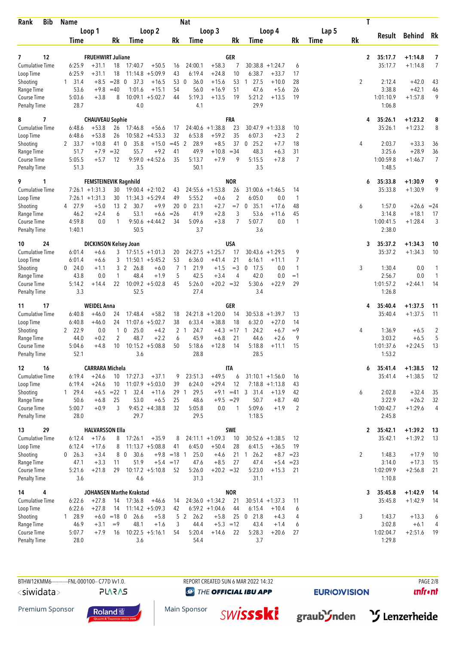| <b>Bib</b><br>Rank                  | <b>Name</b>              |                              |                       |                                 |                                          |                     | <b>Nat</b>                       |                                       |                      |                                |                              |                    |       | T              |                     |                    |                |
|-------------------------------------|--------------------------|------------------------------|-----------------------|---------------------------------|------------------------------------------|---------------------|----------------------------------|---------------------------------------|----------------------|--------------------------------|------------------------------|--------------------|-------|----------------|---------------------|--------------------|----------------|
|                                     |                          | Loop 1                       |                       |                                 | Loop 2                                   |                     |                                  | Loop 3                                |                      |                                | Loop 4                       |                    | Lap 5 |                |                     | Result Behind      | - Rk           |
|                                     | Time                     |                              | Rk                    | Time                            |                                          | Rk                  | Time                             |                                       | Rk                   | Time                           |                              | Rk                 | Time  | <b>Rk</b>      |                     |                    |                |
| $\overline{ }$<br>12                |                          | <b>FRUEHWIRT Juliane</b>     |                       |                                 |                                          |                     |                                  |                                       | GER                  |                                |                              |                    |       | $\mathbf{2}$   | 35:17.7             | $+1:14.8$          | 7              |
| Cumulative Time                     | 6:25.9                   | $+31.1$                      | 18                    | 17:40.7                         | $+50.5$                                  | 16                  | 24:00.1                          | $+58.3$                               | 7                    |                                | $30:38.8 + 1:24.7$           | 6                  |       |                | 35:17.7             | $+1:14.8$          | $\overline{7}$ |
| Loop Time                           | 6:25.9                   | $+31.1$                      | 18                    |                                 | $11:14.8 + 5:09.9$                       | 43                  | 6:19.4                           | $+24.8$                               | 10                   | 6:38.7                         | $+33.7$                      | 17                 |       |                |                     |                    |                |
| Shooting                            | 31.4<br>1                | $+8.5$                       | $= 28$ 0              | 37.3                            | $+16.5$                                  | 53 0                | 36.0                             | $+15.6$                               | 53                   | 127.5                          | $+10.0$                      | 28                 |       | $\overline{2}$ | 2:12.4              | $+42.0$            | 43             |
| Range Time                          | 53.6                     | $+9.8$                       | $=40$                 | 1:01.6                          | $+15.1$                                  | 54                  | 56.0                             | $+16.9$                               | 51                   | 47.6                           | $+5.6$                       | 26                 |       |                | 3:38.8              | $+42.1$            | 46             |
| Course Time<br><b>Penalty Time</b>  | 5:03.6<br>28.7           | $+3.8$                       | 8                     | 10:09.1<br>4.0                  | $+5:02.7$                                | 44                  | 5:19.3<br>4.1                    | $+13.5$                               | 19                   | 5:21.2<br>29.9                 | $+13.5$                      | 19                 |       |                | 1:01:10.9<br>1:06.8 | $+1:57.8$          | 9              |
| 7<br>8                              |                          | <b>CHAUVEAU Sophie</b>       |                       |                                 |                                          |                     |                                  |                                       | <b>FRA</b>           |                                |                              |                    |       | 4              | 35:26.1             | $+1:23.2$          | 8              |
| <b>Cumulative Time</b>              | 6:48.6                   | $+53.8$                      | 26                    | 17:46.8                         | $+56.6$                                  | 17                  |                                  | $24:40.6 + 1:38.8$                    | 23                   |                                | $30:47.9 + 1:33.8$           | 10                 |       |                | 35:26.1             | $+1:23.2$          | 8              |
| Loop Time                           | 6:48.6                   | $+53.8$                      | 26                    |                                 | $10:58.2 +4:53.3$                        | 32                  | 6:53.8                           | $+59.2$                               | 35                   | 6:07.3                         | $+2.3$                       | $\overline{2}$     |       |                |                     |                    |                |
| Shooting<br>Range Time              | 2 33.7<br>51.7           | $+10.8$<br>$+7.9$            | 41 0<br>$=32$         | 35.8<br>55.7                    | $+15.0$<br>$+9.2$                        | $=45$ 2<br>41       | 28.9<br>49.9                     | $+8.5$<br>$+10.8$                     | 37<br>$= 34$         | 25.2<br>$\mathbf 0$<br>48.3    | $+7.7$<br>$+6.3$             | 18<br>31           |       | 4              | 2:03.7<br>3:25.6    | $+33.3$<br>$+28.9$ | 36<br>36       |
| Course Time                         | 5:05.5                   | $+5.7$                       | 12                    |                                 | $9:59.0 +4:52.6$                         | 35                  | 5:13.7                           | $+7.9$                                | 9                    | 5:15.5                         | $+7.8$                       | 7                  |       |                | 1:00:59.8           | $+1:46.7$          | $\overline{7}$ |
| <b>Penalty Time</b>                 | 51.3                     |                              |                       | 3.5                             |                                          |                     | 50.1                             |                                       |                      | 3.5                            |                              |                    |       |                | 1:48.5              |                    |                |
| 9<br>1                              |                          | <b>FEMSTEINEVIK Ragnhild</b> |                       |                                 |                                          |                     |                                  |                                       | <b>NOR</b>           |                                |                              |                    |       | 6              | 35:33.8             | $+1:30.9$          | 9              |
| <b>Cumulative Time</b>              |                          | $7:26.1 + 1:31.3$            | 30                    |                                 | $19:00.4 + 2:10.2$<br>$11:34.3 + 5:29.4$ | 43<br>49            |                                  | $24:55.6 + 1:53.8$                    | 26<br>$\overline{2}$ |                                | $31:00.6 + 1:46.5$           | 14<br>$\mathbf{1}$ |       |                | 35:33.8             | $+1:30.9$          | 9              |
| Loop Time<br>Shooting               | 4 27.9                   | $7:26.1 + 1:31.3$<br>$+5.0$  | 30<br>13 <sup>2</sup> | 30.7                            | $+9.9$                                   | 20 <sub>0</sub>     | 5:55.2<br>23.1                   | $+0.6$<br>$+2.7$                      | $=7$                 | 6:05.0<br>35.1<br>$\mathbf 0$  | 0.0<br>$+17.6$               | 48                 |       | 6              | 1:57.0              | $+26.6$            | $= 24$         |
| Range Time                          | 46.2                     | $+2.4$                       | 6                     | 53.1                            | $+6.6$                                   | $=26$               | 41.9                             | $+2.8$                                | 3                    | 53.6                           | $+11.6$                      | 45                 |       |                | 3:14.8              | $+18.1$            | 17             |
| Course Time                         | 4:59.8                   | 0.0                          | $\mathbf{1}$          |                                 | $9:50.6 +4:44.2$                         | 34                  | 5:09.6                           | $+3.8$                                | 7                    | 5:07.7                         | 0.0                          | $\mathbf{1}$       |       |                | 1:00:41.5           | $+1:28.4$          | 3              |
| <b>Penalty Time</b>                 | 1:40.1                   |                              |                       | 50.5                            |                                          |                     | 3.7                              |                                       |                      | 3.6                            |                              |                    |       |                | 2:38.0              |                    |                |
| 10<br>24                            |                          | <b>DICKINSON Kelsey Joan</b> |                       |                                 |                                          |                     |                                  |                                       | <b>USA</b>           |                                |                              |                    |       | 3              | 35:37.2             | $+1:34.3$          | 10             |
| <b>Cumulative Time</b>              | 6:01.4                   | $+6.6$                       |                       | $3$ 17:51.5 +1:01.3             |                                          | 20                  |                                  | $24:27.5 +1:25.7$                     | 17                   |                                | $30:43.6 + 1:29.5$           | 9                  |       |                | 35:37.2             | $+1:34.3$          | 10             |
| Loop Time<br>Shooting               | 6:01.4<br>$0\quad 24.0$  | $+6.6$<br>$+1.1$             | 3                     | 3 2<br>26.8                     | $11:50.1 + 5:45.2$<br>$+6.0$             | 53                  | 6:36.0<br>7 <sub>1</sub><br>21.9 | $+41.4$<br>$+1.5$                     | 21<br>$=$ 3          | 6:16.1<br>17.5<br>$\mathbf{0}$ | $+11.1$<br>0.0               | 7<br>$\mathbf{1}$  |       | 3              | 1:30.4              | 0.0                | 1              |
| Range Time                          | 43.8                     | 0.0                          | $\mathbf{1}$          | 48.4                            | $+1.9$                                   | 5                   | 42.5                             | $+3.4$                                | 4                    | 42.0                           | 0.0                          | $=1$               |       |                | 2:56.7              | 0.0                | $\mathbf{1}$   |
| Course Time                         | 5:14.2                   | $+14.4$                      | 22                    |                                 | $10:09.2 + 5:02.8$                       | 45                  | 5:26.0                           | $+20.2 = 32$                          |                      | 5:30.6                         | $+22.9$                      | 29                 |       |                | 1:01:57.2           | $+2:44.1$          | 14             |
| <b>Penalty Time</b>                 | 3.3                      |                              |                       | 52.5                            |                                          |                     | 27.4                             |                                       |                      | 3.4                            |                              |                    |       |                | 1:26.8              |                    |                |
| 17<br>11                            |                          | <b>WEIDEL Anna</b>           |                       |                                 |                                          |                     |                                  |                                       | GER                  |                                |                              |                    |       | 4              | 35:40.4             | $+1:37.5$          | 11             |
| <b>Cumulative Time</b>              | 6:40.8                   | $+46.0$                      | 24                    | 17:48.4                         | $+58.2$                                  | 18                  |                                  | $24:21.8 +1:20.0$                     | 14                   |                                | $30:53.8 + 1:39.7$           | 13                 |       |                | 35:40.4             | $+1:37.5$          | 11             |
| Loop Time<br>Shooting               | 6:40.8<br>2 22.9         | $+46.0$<br>0.0               | 24                    | 25.0<br>$1\quad0$               | $11:07.6 + 5:02.7$<br>$+4.2$             | 38                  | 6:33.4<br>2 <sub>1</sub><br>24.7 | $+38.8$<br>$+4.3$                     | 18<br>$=17$ 1        | 6:32.0<br>24.2                 | $+27.0$<br>$+6.7$            | 14<br>$=9$         |       | 4              | 1:36.9              | $+6.5$             | $\overline{c}$ |
| Range Time                          | 44.0                     | $+0.2$                       | 2                     | 48.7                            | $+2.2$                                   | 6                   | 45.9                             | $+6.8$                                | 21                   | 44.6                           | $+2.6$                       | 9                  |       |                | 3:03.2              | $+6.5$             | 5              |
| Course Time                         | 5:04.6                   | $+4.8$                       | 10                    |                                 | $10:15.2 + 5:08.8$                       | 50                  | 5:18.6                           | $+12.8$                               | 14                   | 5:18.8                         | $+11.1$                      | 15                 |       |                | 1:01:37.6           | $+2:24.5$          | 13             |
| <b>Penalty Time</b>                 | 52.1                     |                              |                       | 3.6                             |                                          |                     | 28.8                             |                                       |                      | 28.5                           |                              |                    |       |                | 1:53.2              |                    |                |
| 16<br>12                            |                          | <b>CARRARA Michela</b>       |                       |                                 |                                          |                     |                                  |                                       | <b>ITA</b>           |                                |                              |                    |       | 6              | 35:41.4             | $+1:38.5$          | 12             |
| <b>Cumulative Time</b>              | 6:19.4                   | $+24.6$                      | 10                    | 17:27.3                         | $+37.1$                                  | 9                   | 23:51.3                          | $+49.5$                               | 6                    |                                | $31:10.1 + 1:56.0$           | 16                 |       |                | 35:41.4             | $+1:38.5$          | 12             |
| Loop Time<br>Shooting               | 6:19.4<br>$1 \quad 29.4$ | $+24.6$<br>$+6.5 = 22$ 1     | 10                    | 32.4                            | $11:07.9 + 5:03.0$<br>$+11.6$            | 39                  | 6:24.0<br>29 1<br>29.5           | $+29.4$                               | 12                   | $+9.1$ =41 3 31.4              | $7:18.8 + 1:13.8$<br>$+13.9$ | 43<br>42           |       | 6              | 2:02.8              | $+32.4$            | 35             |
| Range Time                          | 50.6                     | $+6.8$                       | 25                    | 53.0                            | $+6.5$                                   | 25                  | 48.6                             | $+9.5 = 29$                           |                      | 50.7                           | $+8.7$                       | 40                 |       |                | 3:22.9              | $+26.2$            | 32             |
| Course Time                         | 5:00.7                   | $+0.9$                       | 3                     |                                 | $9:45.2 +4:38.8$                         | 32                  | 5:05.8                           | $0.0\,$                               | $\mathbf{1}$         | 5:09.6                         | $+1.9$                       | 2                  |       |                | 1:00:42.7           | $+1:29.6$          | 4              |
| <b>Penalty Time</b>                 | 28.0                     |                              |                       | 29.7                            |                                          |                     | 29.5                             |                                       |                      | 1:18.5                         |                              |                    |       |                | 2:45.8              |                    |                |
| 29<br>13                            |                          | <b>HALVARSSON Ella</b>       |                       |                                 |                                          |                     |                                  |                                       | <b>SWE</b>           |                                |                              |                    |       | $\mathbf{2}$   | 35:42.1             | $+1:39.2$          | 13             |
| <b>Cumulative Time</b><br>Loop Time | 6:12.4                   | $+17.6$                      |                       | 8 17:26.1                       | $+35.9$                                  | 8                   |                                  | $24:11.1 + 1:09.3$                    | 10                   |                                | $30:52.6 +1:38.5$            | 12                 |       |                | 35:42.1             | $+1:39.2$          | 13             |
| Shooting                            | 6:12.4<br>$0\quad 26.3$  | $+17.6$<br>$+3.4$            | 8                     | 8 0<br>30.6                     | $11:13.7 + 5:08.8$                       | 41<br>$+9.8 = 18$ 1 | 6:45.0<br>25.0                   | $+50.4$<br>$+4.6$                     | 28                   | 6:41.5<br>21 1 26.2            | $+36.5$<br>$+8.7 = 23$       | 19                 |       | 2              | 1:48.3              | $+17.9$            | 10             |
| Range Time                          | 47.1                     | $+3.3$                       | 11                    | 51.9                            | $+5.4 = 17$                              |                     | 47.6                             | $+8.5$                                | 27                   | 47.4                           | $+5.4 = 23$                  |                    |       |                | 3:14.0              | $+17.3$            | 15             |
| Course Time                         | 5:21.6                   | $+21.8$                      | 29                    |                                 | $10:17.2 + 5:10.8$                       | 52                  | 5:26.0                           | $+20.2 = 32$                          |                      | 5:23.0                         | $+15.3$                      | 21                 |       |                | 1:02:09.9           | $+2:56.8$          | 21             |
| Penalty Time                        | 3.6                      |                              |                       | 4.6                             |                                          |                     | 31.3                             |                                       |                      | 31.1                           |                              |                    |       |                | 1:10.8              |                    |                |
| 4<br>14                             |                          | $+27.8$                      |                       | <b>JOHANSEN Marthe Krakstad</b> |                                          |                     |                                  |                                       | <b>NOR</b>           |                                |                              |                    |       | 3              | 35:45.8             | $+1:42.9$          | 14             |
| <b>Cumulative Time</b><br>Loop Time | 6:22.6<br>6:22.6         | $+27.8$                      | 14<br>14              | 17:36.8                         | $+46.6$<br>$11:14.2 + 5:09.3$            | 14<br>42            |                                  | $24:36.0 +1:34.2$<br>$6:59.2 +1:04.6$ | 21<br>44             | 6:15.4                         | $30:51.4 +1:37.3$<br>$+10.4$ | 11<br>6            |       |                | 35:45.8             | $+1:42.9$          | 14             |
| Shooting                            | $1\quad 28.9$            | $+6.0 = 18$ 0                |                       | 26.6                            | $+5.8$                                   |                     | 5 2 26.2                         | $+5.8$                                | 25                   | $0$ 21.8                       | $+4.3$                       | 4                  |       | 3              | 1:43.7              | $+13.3$            | 6              |
| Range Time                          | 46.9                     | $+3.1$                       | $=9$                  | 48.1                            | $+1.6$                                   | 3                   | 44.4                             | $+5.3 = 12$                           |                      | 43.4                           | $+1.4$                       | 6                  |       |                | 3:02.8              | $+6.1$             | 4              |
| Course Time                         | 5:07.7                   | $+7.9$                       | 16                    |                                 | $10:22.5 + 5:16.1$                       | 54                  | 5:20.4                           | $+14.6$                               | 22                   | 5:28.3                         | $+20.6$                      | 27                 |       |                | 1:02:04.7           | $+2:51.6$          | 19             |
| <b>Penalty Time</b>                 | 28.0                     |                              |                       | 3.6                             |                                          |                     | 54.4                             |                                       |                      | 3.7                            |                              |                    |       |                | 1:29.8              |                    |                |

**PLARAS** 

**@** THE OFFICIAL IBU APP

Main Sponsor

**EURIO)VISION** 

graub's nden by Lenzerheide

 $unfront$ 

Premium Sponsor



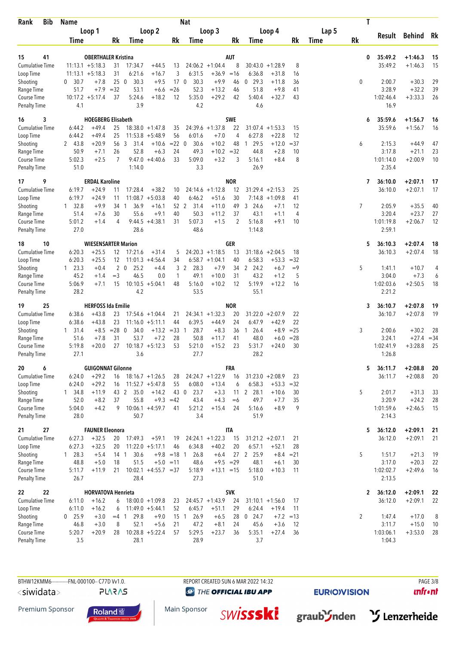| <b>Bib</b><br>Rank                  | <b>Name</b>               |                                      |                                            |                      | <b>Nat</b>           |                               |                 |                                        |                   |               |       | T              |                    |                        |          |
|-------------------------------------|---------------------------|--------------------------------------|--------------------------------------------|----------------------|----------------------|-------------------------------|-----------------|----------------------------------------|-------------------|---------------|-------|----------------|--------------------|------------------------|----------|
|                                     | Loop 1                    |                                      | Loop 2                                     |                      |                      | Loop 3                        |                 | Loop 4                                 |                   |               | Lap 5 |                |                    | Result Behind          | Rk       |
|                                     | <b>Time</b>               | Rk                                   | Time                                       | Rk                   | Time                 |                               | Rk              | Time                                   |                   | Rk            | Time  | <b>Rk</b>      |                    |                        |          |
|                                     |                           |                                      |                                            |                      |                      |                               |                 |                                        |                   |               |       |                |                    |                        |          |
| 41<br>15<br><b>Cumulative Time</b>  | $11:13.1 + 5:18.3$        | <b>OBERTHALER Kristina</b><br>31     | 17:34.7<br>$+44.5$                         | 13                   |                      | $24:06.2 +1:04.4$             | <b>AUT</b><br>8 | $30:43.0 + 1:28.9$                     |                   | 8             |       | 0              | 35:49.2<br>35:49.2 | $+1:46.3$<br>$+1:46.3$ | 15<br>15 |
| Loop Time                           | $11:13.1 + 5:18.3$        | 31                                   | 6:21.6<br>$+16.7$                          | 3                    | 6:31.5               | $+36.9$                       | $=16$           | 6:36.8                                 | $+31.8$           | 16            |       |                |                    |                        |          |
| Shooting                            | 30.7<br>0                 | 250<br>$+7.8$                        | 30.3<br>$+9.5$                             | 17 <sub>0</sub>      | 30.3                 | $+9.9$                        | 46              | $0$ 29.3                               | $+11.8$           | 36            |       | 0              | 2:00.7             | $+30.3$                | 29       |
| Range Time                          | 51.7                      | $+7.9$<br>$=32$                      | 53.1<br>$+6.6$                             | $=26$                | 52.3                 | $+13.2$                       | 46              | 51.8                                   | $+9.8$            | 41            |       |                | 3:28.9             | $+32.2$                | 39       |
| Course Time<br><b>Penalty Time</b>  | $10:17.2 + 5:17.4$<br>4.1 | 37                                   | 5:24.6<br>$+18.2$<br>3.9                   | 12                   | 5:35.0<br>4.2        | $+29.2$                       | 42              | 5:40.4<br>4.6                          | $+32.7$           | 43            |       |                | 1:02:46.4<br>16.9  | $+3:33.3$              | 26       |
| 3<br>16                             |                           | <b>HOEGBERG Elisabeth</b>            |                                            |                      |                      |                               | <b>SWE</b>      |                                        |                   |               |       | 6              | 35:59.6            | $+1:56.7$              | 16       |
| <b>Cumulative Time</b>              | 6:44.2                    | $+49.4$<br>25                        | $18:38.0 + 1:47.8$                         | 35                   |                      | $24:39.6 + 1:37.8$            | 22              | $31:07.4 + 1:53.3$                     |                   | 15            |       |                | 35:59.6            | $+1:56.7$              | 16       |
| Loop Time                           | 6:44.2                    | $+49.4$<br>25                        | $11:53.8 + 5:48.9$                         | 56                   | 6:01.6               | $+7.0$                        | 4               | 6:27.8                                 | $+22.8$           | 12            |       |                |                    |                        |          |
| Shooting<br>Range Time              | 2 43.8<br>50.9            | $+20.9$<br>56<br>26<br>$+7.1$        | 3<br>31.4<br>$+10.6$<br>52.8<br>$+6.3$     | $= 22 \ 0$<br>24     | 30.6<br>49.3         | $+10.2$<br>$+10.2 = 32$       | 48              | 29.5<br>$\overline{1}$<br>44.8         | $+12.0$<br>$+2.8$ | $=37$<br>10   |       | 6              | 2:15.3<br>3:17.8   | $+44.9$<br>$+21.1$     | 47<br>23 |
| Course Time                         | 5:02.3                    | $+2.5$<br>7                          | $9:47.0 +4:40.6$                           | 33                   | 5:09.0               | $+3.2$                        | 3               | 5:16.1                                 | $+8.4$            | 8             |       |                | 1:01:14.0          | $+2:00.9$              | 10       |
| <b>Penalty Time</b>                 | 51.0                      |                                      | 1:14.0                                     |                      | 3.3                  |                               |                 | 26.9                                   |                   |               |       |                | 2:35.4             |                        |          |
| 17<br>9                             |                           | <b>ERDAL Karoline</b>                |                                            |                      |                      |                               | <b>NOR</b>      |                                        |                   |               |       | 7              | 36:10.0            | $+2:07.1$              | 17       |
| <b>Cumulative Time</b><br>Loop Time | 6:19.7<br>6:19.7          | $+24.9$<br>11<br>$+24.9$<br>11       | 17:28.4<br>$+38.2$<br>11:08.7<br>$+5:03.8$ | 10<br>40             | 24:14.6<br>6:46.2    | $+1:12.8$<br>$+51.6$          | 12<br>30        | $31:29.4 +2:15.3$<br>$7:14.8 + 1:09.8$ |                   | 25<br>41      |       |                | 36:10.0            | $+2:07.1$              | 17       |
| Shooting                            | $1 \quad 32.8$            | 34 1<br>$+9.9$                       | 36.9<br>$+16.1$                            | 52 2                 | 31.4                 | $+11.0$                       | 49              | 3 24.6                                 | $+7.1$            | 12            |       | $\overline{7}$ | 2:05.9             | $+35.5$                | 40       |
| Range Time                          | 51.4                      | 30<br>$+7.6$                         | 55.6<br>$+9.1$                             | 40                   | 50.3                 | $+11.2$                       | 37              | 43.1                                   | $+1.1$            | 4             |       |                | 3:20.4             | $+23.7$                | 27       |
| Course Time                         | 5:01.2                    | 4<br>$+1.4$                          | $9:44.5 +4:38.1$                           | 31                   | 5:07.3               | $+1.5$                        | 2               | 5:16.8                                 | $+9.1$            | 10            |       |                | 1:01:19.8          | $+2:06.7$              | 12       |
| <b>Penalty Time</b>                 | 27.0                      |                                      | 28.6                                       |                      | 48.6                 |                               |                 | 1:14.8                                 |                   |               |       |                | 2:59.1             |                        |          |
| 10<br>18                            |                           | <b>WIESENSARTER Marion</b>           |                                            |                      |                      |                               | <b>GER</b>      |                                        |                   |               |       | 5              | 36:10.3            | $+2:07.4$              | 18       |
| <b>Cumulative Time</b>              | 6:20.3                    | $+25.5$<br>12                        | 17:21.6<br>$+31.4$                         | 5                    |                      | $24:20.3 +1:18.5$             | 13              | $31:18.6 + 2:04.5$                     |                   | 18            |       |                | 36:10.3            | $+2:07.4$              | 18       |
| Loop Time<br>Shooting               | 6:20.3<br>$1 \t23.3$      | $+25.5$<br>12<br>$2\quad0$<br>$+0.4$ | $11:01.3 +4:56.4$<br>25.2<br>$+4.4$        | 34<br>3              | 28.3<br>2            | $6:58.7 +1:04.1$<br>$+7.9$    | 40<br>34        | 6:58.3<br>2 24.2                       | $+53.3$<br>$+6.7$ | $=32$<br>$=9$ |       | 5              | 1:41.1             | $+10.7$                | 4        |
| Range Time                          | 45.2                      | $=$ 3<br>$+1.4$                      | 46.5<br>0.0                                | $\mathbf{1}$         | 49.1                 | $+10.0$                       | 31              | 43.2                                   | $+1.2$            | 5             |       |                | 3:04.0             | $+7.3$                 | 6        |
| Course Time                         | 5:06.9                    | $+7.1$<br>15                         | $10:10.5 + 5:04.1$                         | 48                   | 5:16.0               | $+10.2$                       | 12              | 5:19.9                                 | $+12.2$           | 16            |       |                | 1:02:03.6          | $+2:50.5$              | 18       |
| <b>Penalty Time</b>                 | 28.2                      |                                      | 4.2                                        |                      | 53.5                 |                               |                 | 55.1                                   |                   |               |       |                | 2:21.2             |                        |          |
| 25<br>19                            |                           | <b>HERFOSS Ida Emilie</b>            |                                            |                      |                      |                               | <b>NOR</b>      |                                        |                   |               |       | 3              | 36:10.7            | $+2:07.8$              | 19       |
| <b>Cumulative Time</b>              | 6:38.6                    | $+43.8$<br>23                        | $17:54.6 + 1:04.4$                         | 21                   |                      | $24:34.1 + 1:32.3$            | 20              | $31:22.0 + 2:07.9$                     |                   | 22            |       |                | 36:10.7            | $+2:07.8$              | 19       |
| Loop Time<br>Shooting               | 6:38.6<br>$1 \quad 31.4$  | $+43.8$<br>23<br>$+8.5 = 28$         | $11:16.0 + 5:11.1$<br>$\mathbf 0$<br>34.0  | 44<br>$+13.2 = 33$ 1 | 6:39.5<br>28.7       | $+44.9$<br>$+8.3$             | 24<br>36        | 6:47.9<br>26.4<br>$\overline{1}$       | $+42.9$<br>$+8.9$ | 22<br>$= 25$  |       | 3              | 2:00.6             | $+30.2$                | 28       |
| Range Time                          | 51.6                      | $+7.8$<br>31                         | 53.7<br>$+7.2$                             | 28                   | 50.8                 | $+11.7$                       | 41              | 48.0                                   | $+6.0$            | $= 28$        |       |                | 3:24.1             | $+27.4$                | $=34$    |
| Course Time                         | 5:19.8                    | 27<br>$+20.0$                        | $10:18.7 + 5:12.3$                         | 53                   | 5:21.0               | $+15.2$                       | 23              | 5:31.7                                 | $+24.0$           | 30            |       |                | 1:02:41.9          | $+3:28.8$              | 25       |
| <b>Penalty Time</b>                 | 27.1                      |                                      | 3.6                                        |                      | 27.7                 |                               |                 | 28.2                                   |                   |               |       |                | 1:26.8             |                        |          |
| 6<br>20                             |                           | <b>GUIGONNAT Gilonne</b>             |                                            |                      |                      |                               | FRA             |                                        |                   |               |       | 5              | 36:11.7            | $+2:08.8$              | 20       |
| <b>Cumulative Time</b><br>Loop Time | 6:24.0<br>6:24.0          | $+29.2$<br>16<br>$+29.2$<br>16       | $18:16.7 + 1:26.5$<br>$11:52.7 + 5:47.8$   | 28<br>55             | 6:08.0               | $24:24.7 +1:22.9$<br>$+13.4$  | 16<br>6         | $31:23.0 + 2:08.9$<br>6:58.3           | $+53.3$           | 23<br>$=32$   |       |                | 36:11.7            | $+2:08.8$              | 20       |
| Shooting                            | $1 \quad 34.8$            | $+11.9$<br>43 2                      | 35.0<br>$+14.2$                            | 43 0                 | 23.7                 | $+3.3$                        |                 | 11 2 28.1                              | $+10.6$           | 30            |       | 5              | 2:01.7             | $+31.3$                | 33       |
| Range Time                          | 52.0                      | $+8.2$<br>37                         | 55.8                                       | $+9.3 = 42$          | 43.4                 | $+4.3$                        | $=6$            | 49.7                                   | $+7.7$            | 35            |       |                | 3:20.9             | $+24.2$                | 28       |
| Course Time                         | 5:04.0                    | $+4.2$<br>9                          | $10:06.1 + 4:59.7$                         | 41                   | 5:21.2               | $+15.4$                       | 24              | 5:16.6                                 | $+8.9$            | 9             |       |                | 1:01:59.6          | $+2:46.5$              | 15       |
| <b>Penalty Time</b>                 | 28.0                      |                                      | 50.7                                       |                      | 3.4                  |                               |                 | 51.9                                   |                   |               |       |                | 2:14.3             |                        |          |
| 27<br>21                            |                           | <b>FAUNER Eleonora</b>               |                                            |                      |                      |                               | <b>ITA</b>      |                                        |                   |               |       | 5              | 36:12.0            | $+2:09.1$              | 21       |
| <b>Cumulative Time</b><br>Loop Time | 6:27.3<br>6:27.3          | $+32.5$<br>20<br>$+32.5$<br>20       | 17:49.3<br>$+59.1$<br>$11:22.0 + 5:17.1$   | 19<br>46             | 6:34.8               | $24:24.1 + 1:22.3$<br>$+40.2$ | 15<br>20        | $31:21.2 + 2:07.1$<br>6:57.1           | $+52.1$           | 21<br>28      |       |                | 36:12.0            | $+2:09.1$              | 21       |
| Shooting                            | $1 \quad 28.3$            | $+5.4$<br>14 <sub>1</sub>            | 30.6                                       | $+9.8 = 18$ 1        | 26.8                 | $+6.4$                        | 27              | 2 25.9                                 | $+8.4$            | $= 21$        |       | 5              | 1:51.7             | $+21.3$                | 19       |
| Range Time                          | 48.8                      | $+5.0$<br>18                         | 51.5                                       | $+5.0 = 11$          | 48.6                 | $+9.5 = 29$                   |                 | 48.1                                   | $+6.1$            | 30            |       |                | 3:17.0             | $+20.3$                | 22       |
| Course Time                         | 5:11.7                    | $+11.9$<br>21                        | $10:02.1 + 4:55.7 = 37$                    |                      | 5:18.9               | $+13.1 = 15$                  |                 | 5:18.0                                 | $+10.3$           | 11            |       |                | 1:02:02.7          | $+2:49.6$              | 16       |
| <b>Penalty Time</b>                 | 26.7                      |                                      | 28.4                                       |                      | 27.3                 |                               |                 | 51.0                                   |                   |               |       |                | 2:13.5             |                        |          |
| 22<br>22                            |                           | <b>HORVATOVA Henrieta</b>            |                                            |                      |                      |                               | <b>SVK</b>      |                                        |                   |               |       | 2              | 36:12.0            | $+2:09.1$              | 22       |
| <b>Cumulative Time</b><br>Loop Time | 6:11.0<br>6:11.0          | $+16.2$<br>6<br>$+16.2$<br>6         | $18:00.0 + 1:09.8$<br>$11:49.0 + 5:44.1$   | 23<br>52             | 6:45.7               | $24:45.7 +1:43.9$<br>$+51.1$  | 24<br>29        | $31:10.1 + 1:56.0$<br>6:24.4           | $+19.4$           | 17<br>11      |       |                | 36:12.0            | $+2:09.1$              | 22       |
| Shooting                            | $0$ 25.9                  | $+3.0$<br>$=4$ 1                     | 29.8<br>$+9.0$                             | 15                   | 26.9<br>$\mathbf{1}$ | $+6.5$                        |                 | 28 0 24.7                              | $+7.2 = 13$       |               |       | $\overline{2}$ | 1:47.4             | $+17.0$                | 8        |
| Range Time                          | 46.8                      | 8<br>$+3.0$                          | 52.1<br>$+5.6$                             | 21                   | 47.2                 | $+8.1$                        | 24              | 45.6                                   | $+3.6$            | 12            |       |                | 3:11.7             | $+15.0$                | 10       |
| Course Time                         | 5:20.7                    | $+20.9$<br>28                        | $10:28.8 + 5:22.4$                         | 57                   | 5:29.5               | $+23.7$                       | 36              | 5:35.1                                 | $+27.4$           | 36            |       |                | 1:03:06.1          | $+3:53.0$              | 28       |
| Penalty Time                        | 3.5                       |                                      | 28.1                                       |                      | 28.9                 |                               |                 | 3.7                                    |                   |               |       |                | 1:04.3             |                        |          |

**PLARAS** 

**@** THE OFFICIAL IBU APP

**EURIO)VISION** 

 $unfront$ 

Premium Sponsor





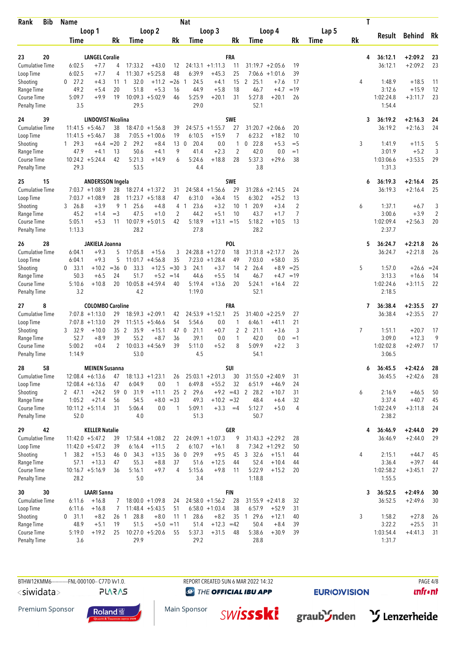| Loop 2<br>Lap 5<br>Loop 1<br>Loop 3<br>Loop 4<br>Result Behind<br>Rk<br>Rk<br><b>Rk</b><br>Rk<br>Rk<br>Rk<br>Time<br>Time<br>Time<br>Time<br>Time<br>20<br><b>FRA</b><br>$+2:09.2$<br>23<br><b>LANGEL Coralie</b><br>36:12.1<br>23<br>4<br>$+2:09.2$<br>23<br>Cumulative Time<br>6:02.5<br>$+7.7$<br>17:33.2<br>$24:13.1 + 1:11.3$<br>11<br>$31:19.7 + 2:05.6$<br>36:12.1<br>4<br>$+43.0$<br>12<br>19<br>48<br>$11:30.7 + 5:25.8$<br>6:39.9<br>25<br>Loop Time<br>6:02.5<br>$+7.7$<br>4<br>$+45.3$<br>$7:06.6 + 1:01.6$<br>39<br>$+11.2$<br>$= 26$ 1<br>15<br>$\overline{2}$<br>25.1<br>Shooting<br>27.2<br>$+4.3$<br>111<br>32.0<br>24.5<br>$+4.1$<br>$+7.6$<br>17<br>1:48.9<br>$+18.5$<br>4<br>11<br>0<br>49.2<br>20<br>51.8<br>$+15.9$<br>12<br>$+5.4$<br>$+5.3$<br>16<br>44.9<br>$+5.8$<br>18<br>46.7<br>$+4.7$<br>$=19$<br>3:12.6<br>Range Time<br>5:09.7<br>19<br>$10:09.3 + 5:02.9$<br>5:25.9<br>$+20.1$<br>5:27.8<br>1:02:24.8<br>23<br>Course Time<br>$+9.9$<br>46<br>31<br>$+20.1$<br>26<br>$+3:11.7$<br>3.5<br>29.5<br>29.0<br>52.1<br>1:54.4<br><b>Penalty Time</b><br>39<br>SWE<br>24<br><b>LINDQVIST Nicolina</b><br>$+2:16.3$<br>24<br>3<br>36:19.2<br>$18:47.0 + 1:56.8$<br>36:19.2<br><b>Cumulative Time</b><br>$11:41.5 + 5:46.7$<br>38<br>$24:57.5 + 1:55.7$<br>27<br>$31:20.7 + 2:06.6$<br>$+2:16.3$<br>24<br>39<br>20<br>38<br>6:23.2<br>Loop Time<br>$7:05.5 +1:00.6$<br>19<br>6:10.5<br>$+15.9$<br>7<br>$+18.2$<br>$11:41.5 + 5:46.7$<br>10<br>$0$ 22.8<br>Shooting<br>$1 \quad 29.3$<br>$+6.4$ = 20 2<br>29.2<br>$+8.4$<br>13 <sub>0</sub><br>20.4<br>0.0<br>$+5.3$<br>$=$ 5<br>3<br>1:41.9<br>$+11.5$<br>5<br>$\mathbf{1}$<br>3<br>$+2.3$<br>$\overline{2}$<br>42.0<br>$+5.2$<br>47.9<br>13<br>50.6<br>$+4.1$<br>9<br>41.4<br>0.0<br>$=1$<br>3:01.9<br>Range Time<br>$+4.1$<br>$10:24.2 + 5:24.4$<br>42<br>5:21.3<br>5:24.6<br>$+18.8$<br>28<br>5:37.3<br>38<br>$+3:53.5$<br>29<br>Course Time<br>$+14.9$<br>6<br>$+29.6$<br>1:03:06.6<br>29.3<br>53.5<br>4.4<br>3.8<br>1:31.3<br><b>Penalty Time</b><br>SWE<br>15<br>36:19.3<br>$+2:16.4$<br>25<br>25<br><b>ANDERSSON Ingela</b><br>6<br>29<br>25<br><b>Cumulative Time</b><br>$7:03.7 +1:08.9$<br>28<br>$18:27.4 + 1:37.2$<br>$24:58.4 +1:56.6$<br>$31:28.6 + 2:14.5$<br>36:19.3<br>$+2:16.4$<br>31<br>24<br>Loop Time<br>$7:03.7 +1:08.9$<br>28<br>$11:23.7 + 5:18.8$<br>47<br>6:31.0<br>$+36.4$<br>15<br>6:30.2<br>$+25.2$<br>13<br>25.6<br>20.9<br>$\overline{2}$<br>3<br>Shooting<br>3, 26.8<br>$+3.9$<br>9 1<br>$+4.8$<br>23.6<br>$+3.2$<br>10<br>$+3.4$<br>1:37.1<br>$+6.7$<br>4 1<br>$\overline{1}$<br>6<br>47.5<br>44.2<br>43.7<br>$+3.9$<br>$\overline{2}$<br>45.2<br>$=$ 3<br>$+1.0$<br>2<br>$+5.1$<br>10<br>7<br>3:00.6<br>Range Time<br>$+1.4$<br>$+1.7$<br>5:18.2<br>20<br>5:05.1<br>$+5.3$<br>11<br>$10:07.9 + 5:01.5$<br>42<br>5:18.9<br>$+13.1 = 15$<br>$+10.5$<br>13<br>1:02:09.4<br>$+2:56.3$<br>Course Time<br>28.2<br>27.8<br>28.2<br>2:37.7<br>1:13.3<br>Penalty Time<br>28<br>JAKIELA Joanna<br><b>POL</b><br>36:24.7<br>$+2:21.8$<br>26<br>5<br>26<br><b>Cumulative Time</b><br>$+9.3$<br>5<br>17:05.8<br>$+15.6$<br>$24:28.8 + 1:27.0$<br>18<br>$31:31.8 + 2:17.7$<br>36:24.7<br>$+2:21.8$<br>26<br>6:04.1<br>3<br>26<br>5<br>$11:01.7 +4:56.8$<br>35<br>Loop Time<br>6:04.1<br>$+9.3$<br>$7:23.0 +1:28.4$<br>49<br>7:03.0<br>$+58.0$<br>35<br>$+10.2$<br>$=36$ 0<br>33.3<br>$+12.5$<br>$=30.3$<br>24.1<br>$+3.7$<br>14 2 26.4<br>$+8.9$<br>$= 25$<br>5<br>1:57.0<br>$+26.6$<br>Shooting<br>0, 33.1<br>$= 24$<br>51.7<br>$+5.2 = 14$<br>3:13.3<br>50.3<br>$+6.5$<br>24<br>44.6<br>$+5.5$<br>46.7<br>$+16.6$<br>Range Time<br>14<br>$+4.7$<br>$=19$<br>-14<br>$10:05.8 + 4:59.4$<br>5:24.1<br>1:02:24.6<br>22<br>Course Time<br>5:10.6<br>$+10.8$<br>20<br>40<br>5:19.4<br>$+13.6$<br>20<br>22<br>$+3:11.5$<br>$+16.4$<br>4.2<br>3.2<br>52.1<br>2:18.5<br><b>Penalty Time</b><br>1:19.0<br>8<br><b>COLOMBO Caroline</b><br>FRA<br>36:38.4<br>$+2:35.5$<br>27<br>27<br>7<br>$+2:35.5$<br>27<br>Cumulative Time<br>$7:07.8 +1:13.0$<br>29<br>$18:59.3 + 2:09.1$<br>$24:53.9 +1:52.1$<br>25<br>$31:40.0 + 2:25.9$<br>27<br>36:38.4<br>42<br>54<br>21<br>Loop Time<br>$7:07.8 +1:13.0$<br>29<br>$11:51.5 + 5:46.6$<br>5:54.6<br>0.0<br>6:46.1<br>$+41.1$<br>1<br>35 2<br>221.1<br>3<br>Shooting<br>3, 32.9<br>$+10.0$<br>35.9<br>$+15.1$<br>47 0<br>21.1<br>$+0.7$<br>$\mathbf{2}$<br>$+3.6$<br>7<br>1:51.1<br>$+20.7$<br>17<br>55.2<br>42.0<br>$+12.3$<br>9<br>Range Time<br>52.7<br>$+8.9$<br>39<br>$+8.7$<br>36<br>39.1<br>0.0<br>0.0<br>3:09.0<br>1<br>$=1$<br>$+5.2$<br>8<br>5:09.9<br>17<br><b>Course Time</b><br>5:00.2<br>$+0.4$<br>2<br>$10:03.3 +4:56.9$<br>39<br>5:11.0<br>$+2.2$<br>3<br>1:02:02.8<br>$+2:49.7$<br>53.0<br>4.5<br>54.1<br>3:06.5<br><b>Penalty Time</b><br>1:14.9<br>58<br><b>MEINEN Susanna</b><br>SUI<br>$+2:42.6$<br>28<br>36:45.5<br>28<br>6<br>30<br>$+2:42.6$<br>28<br>Cumulative Time<br>$12:08.4 + 6:13.6$<br>$18:13.3 + 1:23.1$<br>26<br>$25:03.1 + 2:01.3$<br>$31:55.0 + 2:40.9$<br>31<br>36:45.5<br>47<br>6:49.8<br>32<br>6:51.9<br>$+46.9$<br>Loop Time<br>$12:08.4 + 6:13.6$<br>47<br>6:04.9<br>0.0<br>$\mathbf{1}$<br>$+55.2$<br>24<br>25 2 29.6<br>$+9.2 = 43$ 2 28.2<br>2, 47.1<br>$+24.2$<br>59 0<br>31.9<br>$+11.1$<br>$+10.7$<br>31<br>2:16.9<br>$+46.5$<br>50<br>Shooting<br>6<br>$+21.4$<br>56<br>54.5<br>$= 33$<br>$+10.2 = 32$<br>3:37.4<br>$+40.7$<br>Range Time<br>1:05.2<br>$+8.0$<br>49.3<br>48.4<br>$+6.4$<br>32<br>45<br>Course Time<br>31<br>$\mathbf{1}$<br>5:09.1<br>$+3.3$<br>5:12.7<br>$\overline{4}$<br>1:02:24.9<br>$10:11.2 + 5:11.4$<br>5:06.4<br>0.0<br>$=4$<br>$+5.0$<br>$+3:11.8$<br>24<br>51.3<br>50.7<br>2:38.2<br>Penalty Time<br>52.0<br>4.0<br>42<br><b>KELLER Natalie</b><br><b>GER</b><br>$+2:44.0$<br>29<br>36:46.9<br>29<br>4<br><b>Cumulative Time</b><br>$11:42.0 + 5:47.2$<br>$+2:44.0$<br>29<br>39<br>$17:58.4 + 1:08.2$<br>22<br>$24:09.1 + 1:07.3$<br>9<br>$31:43.3 + 2:29.2$<br>28<br>36:46.9<br>39<br>6:16.4<br>$\overline{2}$<br>6:10.7<br>Loop Time<br>$11:42.0 + 5:47.2$<br>$+11.5$<br>$+16.1$<br>8<br>$7:34.2 + 1:29.2$<br>50<br>360<br>$1 \quad 38.2$<br>$+15.3$<br>46 0<br>34.3<br>$+13.5$<br>29.9<br>$+9.5$<br>45<br>3 32.6<br>$+15.1$<br>44<br>2:15.1<br>45<br>Shooting<br>$+44.7$<br>4<br>57.1<br>$+13.3$<br>55.3<br>$+8.8$<br>37<br>51.6<br>$+12.5$<br>52.4<br>$+10.4$<br>3:36.4<br>$+39.7$<br>Range Time<br>47<br>44<br>44<br>44<br>Course Time<br>5:22.9<br>1:02:58.2<br>$10:16.7 + 5:16.9$<br>36<br>5:16.1<br>$+9.7$<br>4<br>5:15.6<br>$+9.8$<br>$+15.2$<br>20<br>$+3:45.1$<br>27<br>11<br>Penalty Time<br>28.2<br>5.0<br>3.4<br>1:18.8<br>1:55.5<br>30<br><b>LAARI Sanna</b><br><b>FIN</b><br>$+2:49.6$<br>30<br>36:52.5<br>30<br>3<br><b>Cumulative Time</b><br>$+16.8$<br>$18:00.0 + 1:09.8$<br>$24:58.0 +1:56.2$<br>28<br>$31:55.9 + 2:41.8$<br>36:52.5<br>$+2:49.6$<br>6:11.6<br>7<br>32<br>30<br>24<br>$6:58.0 +1:03.4$<br>38<br>6:57.9<br>$+52.9$<br>Loop Time<br>6:11.6<br>$+16.8$<br>7<br>$11:48.4 + 5:43.5$<br>51<br>31<br>28.8<br>28.6<br>35 1 29.6<br>$+12.1$<br>1:58.2<br>$+27.8$<br>Shooting<br>$0$ 31.1<br>$+8.2$<br>26 <sub>1</sub><br>$+8.0$<br>$11 \t1$<br>$+8.2$<br>40<br>3<br>26<br>51.5<br>$+5.0 = 11$<br>$+12.3 = 42$<br>3:22.2<br>$+25.5$<br>Range Time<br>48.9<br>$+5.1$<br>19<br>51.4<br>50.4<br>$+8.4$<br>39<br>31<br>$10:27.0 + 5:20.6$<br>5:38.6<br>$+30.9$<br>1:03:54.4<br>Course Time<br>5:19.0<br>$+19.2$<br>25<br>55<br>5:37.3<br>$+31.5$<br>48<br>39<br>$+4:41.3$<br>31<br>29.9<br>29.2<br>Penalty Time<br>3.6<br>28.8<br>1:31.7 | <b>Bib</b><br>Rank | <b>Name</b> | <b>Nat</b> |  |  | T |  |  |
|--------------------------------------------------------------------------------------------------------------------------------------------------------------------------------------------------------------------------------------------------------------------------------------------------------------------------------------------------------------------------------------------------------------------------------------------------------------------------------------------------------------------------------------------------------------------------------------------------------------------------------------------------------------------------------------------------------------------------------------------------------------------------------------------------------------------------------------------------------------------------------------------------------------------------------------------------------------------------------------------------------------------------------------------------------------------------------------------------------------------------------------------------------------------------------------------------------------------------------------------------------------------------------------------------------------------------------------------------------------------------------------------------------------------------------------------------------------------------------------------------------------------------------------------------------------------------------------------------------------------------------------------------------------------------------------------------------------------------------------------------------------------------------------------------------------------------------------------------------------------------------------------------------------------------------------------------------------------------------------------------------------------------------------------------------------------------------------------------------------------------------------------------------------------------------------------------------------------------------------------------------------------------------------------------------------------------------------------------------------------------------------------------------------------------------------------------------------------------------------------------------------------------------------------------------------------------------------------------------------------------------------------------------------------------------------------------------------------------------------------------------------------------------------------------------------------------------------------------------------------------------------------------------------------------------------------------------------------------------------------------------------------------------------------------------------------------------------------------------------------------------------------------------------------------------------------------------------------------------------------------------------------------------------------------------------------------------------------------------------------------------------------------------------------------------------------------------------------------------------------------------------------------------------------------------------------------------------------------------------------------------------------------------------------------------------------------------------------------------------------------------------------------------------------------------------------------------------------------------------------------------------------------------------------------------------------------------------------------------------------------------------------------------------------------------------------------------------------------------------------------------------------------------------------------------------------------------------------------------------------------------------------------------------------------------------------------------------------------------------------------------------------------------------------------------------------------------------------------------------------------------------------------------------------------------------------------------------------------------------------------------------------------------------------------------------------------------------------------------------------------------------------------------------------------------------------------------------------------------------------------------------------------------------------------------------------------------------------------------------------------------------------------------------------------------------------------------------------------------------------------------------------------------------------------------------------------------------------------------------------------------------------------------------------------------------------------------------------------------------------------------------------------------------------------------------------------------------------------------------------------------------------------------------------------------------------------------------------------------------------------------------------------------------------------------------------------------------------------------------------------------------------------------------------------------------------------------------------------------------------------------------------------------------------------------------------------------------------------------------------------------------------------------------------------------------------------------------------------------------------------------------------------------------------------------------------------------------------------------------------------------------------------------------------------------------------------------------------------------------------------------------------------------------------------------------------------------------------------------------------------------------------------------------------------------------------------------------------------------------------------------------------------------------------------------------------------------------------------------------------------------------------------------------------------------------------------------------------------------------------------------------------------------------------------------------------------------------------------------------------------------------------------------------------------------------------------------------------------------------------------------------------------------------------------------------------------------------------------------------------------------------------------------------------------------------------------------------------------------------------------------------------------------------------------------------------------------------------------------------------------------------------------------------------------------------------|--------------------|-------------|------------|--|--|---|--|--|
|                                                                                                                                                                                                                                                                                                                                                                                                                                                                                                                                                                                                                                                                                                                                                                                                                                                                                                                                                                                                                                                                                                                                                                                                                                                                                                                                                                                                                                                                                                                                                                                                                                                                                                                                                                                                                                                                                                                                                                                                                                                                                                                                                                                                                                                                                                                                                                                                                                                                                                                                                                                                                                                                                                                                                                                                                                                                                                                                                                                                                                                                                                                                                                                                                                                                                                                                                                                                                                                                                                                                                                                                                                                                                                                                                                                                                                                                                                                                                                                                                                                                                                                                                                                                                                                                                                                                                                                                                                                                                                                                                                                                                                                                                                                                                                                                                                                                                                                                                                                                                                                                                                                                                                                                                                                                                                                                                                                                                                                                                                                                                                                                                                                                                                                                                                                                                                                                                                                                                                                                                                                                                                                                                                                                                                                                                                                                                                                                                                                                                                                                                                                                                                                                                                                                                                                                                                                                                                                                                                                                                                                                                                                                                                                                                                                                                                                                                                                                                                                                                                                                                                    |                    |             |            |  |  |   |  |  |
|                                                                                                                                                                                                                                                                                                                                                                                                                                                                                                                                                                                                                                                                                                                                                                                                                                                                                                                                                                                                                                                                                                                                                                                                                                                                                                                                                                                                                                                                                                                                                                                                                                                                                                                                                                                                                                                                                                                                                                                                                                                                                                                                                                                                                                                                                                                                                                                                                                                                                                                                                                                                                                                                                                                                                                                                                                                                                                                                                                                                                                                                                                                                                                                                                                                                                                                                                                                                                                                                                                                                                                                                                                                                                                                                                                                                                                                                                                                                                                                                                                                                                                                                                                                                                                                                                                                                                                                                                                                                                                                                                                                                                                                                                                                                                                                                                                                                                                                                                                                                                                                                                                                                                                                                                                                                                                                                                                                                                                                                                                                                                                                                                                                                                                                                                                                                                                                                                                                                                                                                                                                                                                                                                                                                                                                                                                                                                                                                                                                                                                                                                                                                                                                                                                                                                                                                                                                                                                                                                                                                                                                                                                                                                                                                                                                                                                                                                                                                                                                                                                                                                                    |                    |             |            |  |  |   |  |  |
|                                                                                                                                                                                                                                                                                                                                                                                                                                                                                                                                                                                                                                                                                                                                                                                                                                                                                                                                                                                                                                                                                                                                                                                                                                                                                                                                                                                                                                                                                                                                                                                                                                                                                                                                                                                                                                                                                                                                                                                                                                                                                                                                                                                                                                                                                                                                                                                                                                                                                                                                                                                                                                                                                                                                                                                                                                                                                                                                                                                                                                                                                                                                                                                                                                                                                                                                                                                                                                                                                                                                                                                                                                                                                                                                                                                                                                                                                                                                                                                                                                                                                                                                                                                                                                                                                                                                                                                                                                                                                                                                                                                                                                                                                                                                                                                                                                                                                                                                                                                                                                                                                                                                                                                                                                                                                                                                                                                                                                                                                                                                                                                                                                                                                                                                                                                                                                                                                                                                                                                                                                                                                                                                                                                                                                                                                                                                                                                                                                                                                                                                                                                                                                                                                                                                                                                                                                                                                                                                                                                                                                                                                                                                                                                                                                                                                                                                                                                                                                                                                                                                                                    |                    |             |            |  |  |   |  |  |
|                                                                                                                                                                                                                                                                                                                                                                                                                                                                                                                                                                                                                                                                                                                                                                                                                                                                                                                                                                                                                                                                                                                                                                                                                                                                                                                                                                                                                                                                                                                                                                                                                                                                                                                                                                                                                                                                                                                                                                                                                                                                                                                                                                                                                                                                                                                                                                                                                                                                                                                                                                                                                                                                                                                                                                                                                                                                                                                                                                                                                                                                                                                                                                                                                                                                                                                                                                                                                                                                                                                                                                                                                                                                                                                                                                                                                                                                                                                                                                                                                                                                                                                                                                                                                                                                                                                                                                                                                                                                                                                                                                                                                                                                                                                                                                                                                                                                                                                                                                                                                                                                                                                                                                                                                                                                                                                                                                                                                                                                                                                                                                                                                                                                                                                                                                                                                                                                                                                                                                                                                                                                                                                                                                                                                                                                                                                                                                                                                                                                                                                                                                                                                                                                                                                                                                                                                                                                                                                                                                                                                                                                                                                                                                                                                                                                                                                                                                                                                                                                                                                                                                    |                    |             |            |  |  |   |  |  |
|                                                                                                                                                                                                                                                                                                                                                                                                                                                                                                                                                                                                                                                                                                                                                                                                                                                                                                                                                                                                                                                                                                                                                                                                                                                                                                                                                                                                                                                                                                                                                                                                                                                                                                                                                                                                                                                                                                                                                                                                                                                                                                                                                                                                                                                                                                                                                                                                                                                                                                                                                                                                                                                                                                                                                                                                                                                                                                                                                                                                                                                                                                                                                                                                                                                                                                                                                                                                                                                                                                                                                                                                                                                                                                                                                                                                                                                                                                                                                                                                                                                                                                                                                                                                                                                                                                                                                                                                                                                                                                                                                                                                                                                                                                                                                                                                                                                                                                                                                                                                                                                                                                                                                                                                                                                                                                                                                                                                                                                                                                                                                                                                                                                                                                                                                                                                                                                                                                                                                                                                                                                                                                                                                                                                                                                                                                                                                                                                                                                                                                                                                                                                                                                                                                                                                                                                                                                                                                                                                                                                                                                                                                                                                                                                                                                                                                                                                                                                                                                                                                                                                                    |                    |             |            |  |  |   |  |  |
|                                                                                                                                                                                                                                                                                                                                                                                                                                                                                                                                                                                                                                                                                                                                                                                                                                                                                                                                                                                                                                                                                                                                                                                                                                                                                                                                                                                                                                                                                                                                                                                                                                                                                                                                                                                                                                                                                                                                                                                                                                                                                                                                                                                                                                                                                                                                                                                                                                                                                                                                                                                                                                                                                                                                                                                                                                                                                                                                                                                                                                                                                                                                                                                                                                                                                                                                                                                                                                                                                                                                                                                                                                                                                                                                                                                                                                                                                                                                                                                                                                                                                                                                                                                                                                                                                                                                                                                                                                                                                                                                                                                                                                                                                                                                                                                                                                                                                                                                                                                                                                                                                                                                                                                                                                                                                                                                                                                                                                                                                                                                                                                                                                                                                                                                                                                                                                                                                                                                                                                                                                                                                                                                                                                                                                                                                                                                                                                                                                                                                                                                                                                                                                                                                                                                                                                                                                                                                                                                                                                                                                                                                                                                                                                                                                                                                                                                                                                                                                                                                                                                                                    |                    |             |            |  |  |   |  |  |
|                                                                                                                                                                                                                                                                                                                                                                                                                                                                                                                                                                                                                                                                                                                                                                                                                                                                                                                                                                                                                                                                                                                                                                                                                                                                                                                                                                                                                                                                                                                                                                                                                                                                                                                                                                                                                                                                                                                                                                                                                                                                                                                                                                                                                                                                                                                                                                                                                                                                                                                                                                                                                                                                                                                                                                                                                                                                                                                                                                                                                                                                                                                                                                                                                                                                                                                                                                                                                                                                                                                                                                                                                                                                                                                                                                                                                                                                                                                                                                                                                                                                                                                                                                                                                                                                                                                                                                                                                                                                                                                                                                                                                                                                                                                                                                                                                                                                                                                                                                                                                                                                                                                                                                                                                                                                                                                                                                                                                                                                                                                                                                                                                                                                                                                                                                                                                                                                                                                                                                                                                                                                                                                                                                                                                                                                                                                                                                                                                                                                                                                                                                                                                                                                                                                                                                                                                                                                                                                                                                                                                                                                                                                                                                                                                                                                                                                                                                                                                                                                                                                                                                    |                    |             |            |  |  |   |  |  |
|                                                                                                                                                                                                                                                                                                                                                                                                                                                                                                                                                                                                                                                                                                                                                                                                                                                                                                                                                                                                                                                                                                                                                                                                                                                                                                                                                                                                                                                                                                                                                                                                                                                                                                                                                                                                                                                                                                                                                                                                                                                                                                                                                                                                                                                                                                                                                                                                                                                                                                                                                                                                                                                                                                                                                                                                                                                                                                                                                                                                                                                                                                                                                                                                                                                                                                                                                                                                                                                                                                                                                                                                                                                                                                                                                                                                                                                                                                                                                                                                                                                                                                                                                                                                                                                                                                                                                                                                                                                                                                                                                                                                                                                                                                                                                                                                                                                                                                                                                                                                                                                                                                                                                                                                                                                                                                                                                                                                                                                                                                                                                                                                                                                                                                                                                                                                                                                                                                                                                                                                                                                                                                                                                                                                                                                                                                                                                                                                                                                                                                                                                                                                                                                                                                                                                                                                                                                                                                                                                                                                                                                                                                                                                                                                                                                                                                                                                                                                                                                                                                                                                                    |                    |             |            |  |  |   |  |  |
|                                                                                                                                                                                                                                                                                                                                                                                                                                                                                                                                                                                                                                                                                                                                                                                                                                                                                                                                                                                                                                                                                                                                                                                                                                                                                                                                                                                                                                                                                                                                                                                                                                                                                                                                                                                                                                                                                                                                                                                                                                                                                                                                                                                                                                                                                                                                                                                                                                                                                                                                                                                                                                                                                                                                                                                                                                                                                                                                                                                                                                                                                                                                                                                                                                                                                                                                                                                                                                                                                                                                                                                                                                                                                                                                                                                                                                                                                                                                                                                                                                                                                                                                                                                                                                                                                                                                                                                                                                                                                                                                                                                                                                                                                                                                                                                                                                                                                                                                                                                                                                                                                                                                                                                                                                                                                                                                                                                                                                                                                                                                                                                                                                                                                                                                                                                                                                                                                                                                                                                                                                                                                                                                                                                                                                                                                                                                                                                                                                                                                                                                                                                                                                                                                                                                                                                                                                                                                                                                                                                                                                                                                                                                                                                                                                                                                                                                                                                                                                                                                                                                                                    |                    |             |            |  |  |   |  |  |
|                                                                                                                                                                                                                                                                                                                                                                                                                                                                                                                                                                                                                                                                                                                                                                                                                                                                                                                                                                                                                                                                                                                                                                                                                                                                                                                                                                                                                                                                                                                                                                                                                                                                                                                                                                                                                                                                                                                                                                                                                                                                                                                                                                                                                                                                                                                                                                                                                                                                                                                                                                                                                                                                                                                                                                                                                                                                                                                                                                                                                                                                                                                                                                                                                                                                                                                                                                                                                                                                                                                                                                                                                                                                                                                                                                                                                                                                                                                                                                                                                                                                                                                                                                                                                                                                                                                                                                                                                                                                                                                                                                                                                                                                                                                                                                                                                                                                                                                                                                                                                                                                                                                                                                                                                                                                                                                                                                                                                                                                                                                                                                                                                                                                                                                                                                                                                                                                                                                                                                                                                                                                                                                                                                                                                                                                                                                                                                                                                                                                                                                                                                                                                                                                                                                                                                                                                                                                                                                                                                                                                                                                                                                                                                                                                                                                                                                                                                                                                                                                                                                                                                    |                    |             |            |  |  |   |  |  |
|                                                                                                                                                                                                                                                                                                                                                                                                                                                                                                                                                                                                                                                                                                                                                                                                                                                                                                                                                                                                                                                                                                                                                                                                                                                                                                                                                                                                                                                                                                                                                                                                                                                                                                                                                                                                                                                                                                                                                                                                                                                                                                                                                                                                                                                                                                                                                                                                                                                                                                                                                                                                                                                                                                                                                                                                                                                                                                                                                                                                                                                                                                                                                                                                                                                                                                                                                                                                                                                                                                                                                                                                                                                                                                                                                                                                                                                                                                                                                                                                                                                                                                                                                                                                                                                                                                                                                                                                                                                                                                                                                                                                                                                                                                                                                                                                                                                                                                                                                                                                                                                                                                                                                                                                                                                                                                                                                                                                                                                                                                                                                                                                                                                                                                                                                                                                                                                                                                                                                                                                                                                                                                                                                                                                                                                                                                                                                                                                                                                                                                                                                                                                                                                                                                                                                                                                                                                                                                                                                                                                                                                                                                                                                                                                                                                                                                                                                                                                                                                                                                                                                                    |                    |             |            |  |  |   |  |  |
|                                                                                                                                                                                                                                                                                                                                                                                                                                                                                                                                                                                                                                                                                                                                                                                                                                                                                                                                                                                                                                                                                                                                                                                                                                                                                                                                                                                                                                                                                                                                                                                                                                                                                                                                                                                                                                                                                                                                                                                                                                                                                                                                                                                                                                                                                                                                                                                                                                                                                                                                                                                                                                                                                                                                                                                                                                                                                                                                                                                                                                                                                                                                                                                                                                                                                                                                                                                                                                                                                                                                                                                                                                                                                                                                                                                                                                                                                                                                                                                                                                                                                                                                                                                                                                                                                                                                                                                                                                                                                                                                                                                                                                                                                                                                                                                                                                                                                                                                                                                                                                                                                                                                                                                                                                                                                                                                                                                                                                                                                                                                                                                                                                                                                                                                                                                                                                                                                                                                                                                                                                                                                                                                                                                                                                                                                                                                                                                                                                                                                                                                                                                                                                                                                                                                                                                                                                                                                                                                                                                                                                                                                                                                                                                                                                                                                                                                                                                                                                                                                                                                                                    |                    |             |            |  |  |   |  |  |
|                                                                                                                                                                                                                                                                                                                                                                                                                                                                                                                                                                                                                                                                                                                                                                                                                                                                                                                                                                                                                                                                                                                                                                                                                                                                                                                                                                                                                                                                                                                                                                                                                                                                                                                                                                                                                                                                                                                                                                                                                                                                                                                                                                                                                                                                                                                                                                                                                                                                                                                                                                                                                                                                                                                                                                                                                                                                                                                                                                                                                                                                                                                                                                                                                                                                                                                                                                                                                                                                                                                                                                                                                                                                                                                                                                                                                                                                                                                                                                                                                                                                                                                                                                                                                                                                                                                                                                                                                                                                                                                                                                                                                                                                                                                                                                                                                                                                                                                                                                                                                                                                                                                                                                                                                                                                                                                                                                                                                                                                                                                                                                                                                                                                                                                                                                                                                                                                                                                                                                                                                                                                                                                                                                                                                                                                                                                                                                                                                                                                                                                                                                                                                                                                                                                                                                                                                                                                                                                                                                                                                                                                                                                                                                                                                                                                                                                                                                                                                                                                                                                                                                    |                    |             |            |  |  |   |  |  |
|                                                                                                                                                                                                                                                                                                                                                                                                                                                                                                                                                                                                                                                                                                                                                                                                                                                                                                                                                                                                                                                                                                                                                                                                                                                                                                                                                                                                                                                                                                                                                                                                                                                                                                                                                                                                                                                                                                                                                                                                                                                                                                                                                                                                                                                                                                                                                                                                                                                                                                                                                                                                                                                                                                                                                                                                                                                                                                                                                                                                                                                                                                                                                                                                                                                                                                                                                                                                                                                                                                                                                                                                                                                                                                                                                                                                                                                                                                                                                                                                                                                                                                                                                                                                                                                                                                                                                                                                                                                                                                                                                                                                                                                                                                                                                                                                                                                                                                                                                                                                                                                                                                                                                                                                                                                                                                                                                                                                                                                                                                                                                                                                                                                                                                                                                                                                                                                                                                                                                                                                                                                                                                                                                                                                                                                                                                                                                                                                                                                                                                                                                                                                                                                                                                                                                                                                                                                                                                                                                                                                                                                                                                                                                                                                                                                                                                                                                                                                                                                                                                                                                                    |                    |             |            |  |  |   |  |  |
|                                                                                                                                                                                                                                                                                                                                                                                                                                                                                                                                                                                                                                                                                                                                                                                                                                                                                                                                                                                                                                                                                                                                                                                                                                                                                                                                                                                                                                                                                                                                                                                                                                                                                                                                                                                                                                                                                                                                                                                                                                                                                                                                                                                                                                                                                                                                                                                                                                                                                                                                                                                                                                                                                                                                                                                                                                                                                                                                                                                                                                                                                                                                                                                                                                                                                                                                                                                                                                                                                                                                                                                                                                                                                                                                                                                                                                                                                                                                                                                                                                                                                                                                                                                                                                                                                                                                                                                                                                                                                                                                                                                                                                                                                                                                                                                                                                                                                                                                                                                                                                                                                                                                                                                                                                                                                                                                                                                                                                                                                                                                                                                                                                                                                                                                                                                                                                                                                                                                                                                                                                                                                                                                                                                                                                                                                                                                                                                                                                                                                                                                                                                                                                                                                                                                                                                                                                                                                                                                                                                                                                                                                                                                                                                                                                                                                                                                                                                                                                                                                                                                                                    |                    |             |            |  |  |   |  |  |
|                                                                                                                                                                                                                                                                                                                                                                                                                                                                                                                                                                                                                                                                                                                                                                                                                                                                                                                                                                                                                                                                                                                                                                                                                                                                                                                                                                                                                                                                                                                                                                                                                                                                                                                                                                                                                                                                                                                                                                                                                                                                                                                                                                                                                                                                                                                                                                                                                                                                                                                                                                                                                                                                                                                                                                                                                                                                                                                                                                                                                                                                                                                                                                                                                                                                                                                                                                                                                                                                                                                                                                                                                                                                                                                                                                                                                                                                                                                                                                                                                                                                                                                                                                                                                                                                                                                                                                                                                                                                                                                                                                                                                                                                                                                                                                                                                                                                                                                                                                                                                                                                                                                                                                                                                                                                                                                                                                                                                                                                                                                                                                                                                                                                                                                                                                                                                                                                                                                                                                                                                                                                                                                                                                                                                                                                                                                                                                                                                                                                                                                                                                                                                                                                                                                                                                                                                                                                                                                                                                                                                                                                                                                                                                                                                                                                                                                                                                                                                                                                                                                                                                    |                    |             |            |  |  |   |  |  |
|                                                                                                                                                                                                                                                                                                                                                                                                                                                                                                                                                                                                                                                                                                                                                                                                                                                                                                                                                                                                                                                                                                                                                                                                                                                                                                                                                                                                                                                                                                                                                                                                                                                                                                                                                                                                                                                                                                                                                                                                                                                                                                                                                                                                                                                                                                                                                                                                                                                                                                                                                                                                                                                                                                                                                                                                                                                                                                                                                                                                                                                                                                                                                                                                                                                                                                                                                                                                                                                                                                                                                                                                                                                                                                                                                                                                                                                                                                                                                                                                                                                                                                                                                                                                                                                                                                                                                                                                                                                                                                                                                                                                                                                                                                                                                                                                                                                                                                                                                                                                                                                                                                                                                                                                                                                                                                                                                                                                                                                                                                                                                                                                                                                                                                                                                                                                                                                                                                                                                                                                                                                                                                                                                                                                                                                                                                                                                                                                                                                                                                                                                                                                                                                                                                                                                                                                                                                                                                                                                                                                                                                                                                                                                                                                                                                                                                                                                                                                                                                                                                                                                                    |                    |             |            |  |  |   |  |  |
|                                                                                                                                                                                                                                                                                                                                                                                                                                                                                                                                                                                                                                                                                                                                                                                                                                                                                                                                                                                                                                                                                                                                                                                                                                                                                                                                                                                                                                                                                                                                                                                                                                                                                                                                                                                                                                                                                                                                                                                                                                                                                                                                                                                                                                                                                                                                                                                                                                                                                                                                                                                                                                                                                                                                                                                                                                                                                                                                                                                                                                                                                                                                                                                                                                                                                                                                                                                                                                                                                                                                                                                                                                                                                                                                                                                                                                                                                                                                                                                                                                                                                                                                                                                                                                                                                                                                                                                                                                                                                                                                                                                                                                                                                                                                                                                                                                                                                                                                                                                                                                                                                                                                                                                                                                                                                                                                                                                                                                                                                                                                                                                                                                                                                                                                                                                                                                                                                                                                                                                                                                                                                                                                                                                                                                                                                                                                                                                                                                                                                                                                                                                                                                                                                                                                                                                                                                                                                                                                                                                                                                                                                                                                                                                                                                                                                                                                                                                                                                                                                                                                                                    |                    |             |            |  |  |   |  |  |
|                                                                                                                                                                                                                                                                                                                                                                                                                                                                                                                                                                                                                                                                                                                                                                                                                                                                                                                                                                                                                                                                                                                                                                                                                                                                                                                                                                                                                                                                                                                                                                                                                                                                                                                                                                                                                                                                                                                                                                                                                                                                                                                                                                                                                                                                                                                                                                                                                                                                                                                                                                                                                                                                                                                                                                                                                                                                                                                                                                                                                                                                                                                                                                                                                                                                                                                                                                                                                                                                                                                                                                                                                                                                                                                                                                                                                                                                                                                                                                                                                                                                                                                                                                                                                                                                                                                                                                                                                                                                                                                                                                                                                                                                                                                                                                                                                                                                                                                                                                                                                                                                                                                                                                                                                                                                                                                                                                                                                                                                                                                                                                                                                                                                                                                                                                                                                                                                                                                                                                                                                                                                                                                                                                                                                                                                                                                                                                                                                                                                                                                                                                                                                                                                                                                                                                                                                                                                                                                                                                                                                                                                                                                                                                                                                                                                                                                                                                                                                                                                                                                                                                    |                    |             |            |  |  |   |  |  |
|                                                                                                                                                                                                                                                                                                                                                                                                                                                                                                                                                                                                                                                                                                                                                                                                                                                                                                                                                                                                                                                                                                                                                                                                                                                                                                                                                                                                                                                                                                                                                                                                                                                                                                                                                                                                                                                                                                                                                                                                                                                                                                                                                                                                                                                                                                                                                                                                                                                                                                                                                                                                                                                                                                                                                                                                                                                                                                                                                                                                                                                                                                                                                                                                                                                                                                                                                                                                                                                                                                                                                                                                                                                                                                                                                                                                                                                                                                                                                                                                                                                                                                                                                                                                                                                                                                                                                                                                                                                                                                                                                                                                                                                                                                                                                                                                                                                                                                                                                                                                                                                                                                                                                                                                                                                                                                                                                                                                                                                                                                                                                                                                                                                                                                                                                                                                                                                                                                                                                                                                                                                                                                                                                                                                                                                                                                                                                                                                                                                                                                                                                                                                                                                                                                                                                                                                                                                                                                                                                                                                                                                                                                                                                                                                                                                                                                                                                                                                                                                                                                                                                                    |                    |             |            |  |  |   |  |  |
|                                                                                                                                                                                                                                                                                                                                                                                                                                                                                                                                                                                                                                                                                                                                                                                                                                                                                                                                                                                                                                                                                                                                                                                                                                                                                                                                                                                                                                                                                                                                                                                                                                                                                                                                                                                                                                                                                                                                                                                                                                                                                                                                                                                                                                                                                                                                                                                                                                                                                                                                                                                                                                                                                                                                                                                                                                                                                                                                                                                                                                                                                                                                                                                                                                                                                                                                                                                                                                                                                                                                                                                                                                                                                                                                                                                                                                                                                                                                                                                                                                                                                                                                                                                                                                                                                                                                                                                                                                                                                                                                                                                                                                                                                                                                                                                                                                                                                                                                                                                                                                                                                                                                                                                                                                                                                                                                                                                                                                                                                                                                                                                                                                                                                                                                                                                                                                                                                                                                                                                                                                                                                                                                                                                                                                                                                                                                                                                                                                                                                                                                                                                                                                                                                                                                                                                                                                                                                                                                                                                                                                                                                                                                                                                                                                                                                                                                                                                                                                                                                                                                                                    |                    |             |            |  |  |   |  |  |
|                                                                                                                                                                                                                                                                                                                                                                                                                                                                                                                                                                                                                                                                                                                                                                                                                                                                                                                                                                                                                                                                                                                                                                                                                                                                                                                                                                                                                                                                                                                                                                                                                                                                                                                                                                                                                                                                                                                                                                                                                                                                                                                                                                                                                                                                                                                                                                                                                                                                                                                                                                                                                                                                                                                                                                                                                                                                                                                                                                                                                                                                                                                                                                                                                                                                                                                                                                                                                                                                                                                                                                                                                                                                                                                                                                                                                                                                                                                                                                                                                                                                                                                                                                                                                                                                                                                                                                                                                                                                                                                                                                                                                                                                                                                                                                                                                                                                                                                                                                                                                                                                                                                                                                                                                                                                                                                                                                                                                                                                                                                                                                                                                                                                                                                                                                                                                                                                                                                                                                                                                                                                                                                                                                                                                                                                                                                                                                                                                                                                                                                                                                                                                                                                                                                                                                                                                                                                                                                                                                                                                                                                                                                                                                                                                                                                                                                                                                                                                                                                                                                                                                    |                    |             |            |  |  |   |  |  |
|                                                                                                                                                                                                                                                                                                                                                                                                                                                                                                                                                                                                                                                                                                                                                                                                                                                                                                                                                                                                                                                                                                                                                                                                                                                                                                                                                                                                                                                                                                                                                                                                                                                                                                                                                                                                                                                                                                                                                                                                                                                                                                                                                                                                                                                                                                                                                                                                                                                                                                                                                                                                                                                                                                                                                                                                                                                                                                                                                                                                                                                                                                                                                                                                                                                                                                                                                                                                                                                                                                                                                                                                                                                                                                                                                                                                                                                                                                                                                                                                                                                                                                                                                                                                                                                                                                                                                                                                                                                                                                                                                                                                                                                                                                                                                                                                                                                                                                                                                                                                                                                                                                                                                                                                                                                                                                                                                                                                                                                                                                                                                                                                                                                                                                                                                                                                                                                                                                                                                                                                                                                                                                                                                                                                                                                                                                                                                                                                                                                                                                                                                                                                                                                                                                                                                                                                                                                                                                                                                                                                                                                                                                                                                                                                                                                                                                                                                                                                                                                                                                                                                                    |                    |             |            |  |  |   |  |  |
|                                                                                                                                                                                                                                                                                                                                                                                                                                                                                                                                                                                                                                                                                                                                                                                                                                                                                                                                                                                                                                                                                                                                                                                                                                                                                                                                                                                                                                                                                                                                                                                                                                                                                                                                                                                                                                                                                                                                                                                                                                                                                                                                                                                                                                                                                                                                                                                                                                                                                                                                                                                                                                                                                                                                                                                                                                                                                                                                                                                                                                                                                                                                                                                                                                                                                                                                                                                                                                                                                                                                                                                                                                                                                                                                                                                                                                                                                                                                                                                                                                                                                                                                                                                                                                                                                                                                                                                                                                                                                                                                                                                                                                                                                                                                                                                                                                                                                                                                                                                                                                                                                                                                                                                                                                                                                                                                                                                                                                                                                                                                                                                                                                                                                                                                                                                                                                                                                                                                                                                                                                                                                                                                                                                                                                                                                                                                                                                                                                                                                                                                                                                                                                                                                                                                                                                                                                                                                                                                                                                                                                                                                                                                                                                                                                                                                                                                                                                                                                                                                                                                                                    |                    |             |            |  |  |   |  |  |
|                                                                                                                                                                                                                                                                                                                                                                                                                                                                                                                                                                                                                                                                                                                                                                                                                                                                                                                                                                                                                                                                                                                                                                                                                                                                                                                                                                                                                                                                                                                                                                                                                                                                                                                                                                                                                                                                                                                                                                                                                                                                                                                                                                                                                                                                                                                                                                                                                                                                                                                                                                                                                                                                                                                                                                                                                                                                                                                                                                                                                                                                                                                                                                                                                                                                                                                                                                                                                                                                                                                                                                                                                                                                                                                                                                                                                                                                                                                                                                                                                                                                                                                                                                                                                                                                                                                                                                                                                                                                                                                                                                                                                                                                                                                                                                                                                                                                                                                                                                                                                                                                                                                                                                                                                                                                                                                                                                                                                                                                                                                                                                                                                                                                                                                                                                                                                                                                                                                                                                                                                                                                                                                                                                                                                                                                                                                                                                                                                                                                                                                                                                                                                                                                                                                                                                                                                                                                                                                                                                                                                                                                                                                                                                                                                                                                                                                                                                                                                                                                                                                                                                    |                    |             |            |  |  |   |  |  |
|                                                                                                                                                                                                                                                                                                                                                                                                                                                                                                                                                                                                                                                                                                                                                                                                                                                                                                                                                                                                                                                                                                                                                                                                                                                                                                                                                                                                                                                                                                                                                                                                                                                                                                                                                                                                                                                                                                                                                                                                                                                                                                                                                                                                                                                                                                                                                                                                                                                                                                                                                                                                                                                                                                                                                                                                                                                                                                                                                                                                                                                                                                                                                                                                                                                                                                                                                                                                                                                                                                                                                                                                                                                                                                                                                                                                                                                                                                                                                                                                                                                                                                                                                                                                                                                                                                                                                                                                                                                                                                                                                                                                                                                                                                                                                                                                                                                                                                                                                                                                                                                                                                                                                                                                                                                                                                                                                                                                                                                                                                                                                                                                                                                                                                                                                                                                                                                                                                                                                                                                                                                                                                                                                                                                                                                                                                                                                                                                                                                                                                                                                                                                                                                                                                                                                                                                                                                                                                                                                                                                                                                                                                                                                                                                                                                                                                                                                                                                                                                                                                                                                                    |                    |             |            |  |  |   |  |  |
|                                                                                                                                                                                                                                                                                                                                                                                                                                                                                                                                                                                                                                                                                                                                                                                                                                                                                                                                                                                                                                                                                                                                                                                                                                                                                                                                                                                                                                                                                                                                                                                                                                                                                                                                                                                                                                                                                                                                                                                                                                                                                                                                                                                                                                                                                                                                                                                                                                                                                                                                                                                                                                                                                                                                                                                                                                                                                                                                                                                                                                                                                                                                                                                                                                                                                                                                                                                                                                                                                                                                                                                                                                                                                                                                                                                                                                                                                                                                                                                                                                                                                                                                                                                                                                                                                                                                                                                                                                                                                                                                                                                                                                                                                                                                                                                                                                                                                                                                                                                                                                                                                                                                                                                                                                                                                                                                                                                                                                                                                                                                                                                                                                                                                                                                                                                                                                                                                                                                                                                                                                                                                                                                                                                                                                                                                                                                                                                                                                                                                                                                                                                                                                                                                                                                                                                                                                                                                                                                                                                                                                                                                                                                                                                                                                                                                                                                                                                                                                                                                                                                                                    |                    |             |            |  |  |   |  |  |
|                                                                                                                                                                                                                                                                                                                                                                                                                                                                                                                                                                                                                                                                                                                                                                                                                                                                                                                                                                                                                                                                                                                                                                                                                                                                                                                                                                                                                                                                                                                                                                                                                                                                                                                                                                                                                                                                                                                                                                                                                                                                                                                                                                                                                                                                                                                                                                                                                                                                                                                                                                                                                                                                                                                                                                                                                                                                                                                                                                                                                                                                                                                                                                                                                                                                                                                                                                                                                                                                                                                                                                                                                                                                                                                                                                                                                                                                                                                                                                                                                                                                                                                                                                                                                                                                                                                                                                                                                                                                                                                                                                                                                                                                                                                                                                                                                                                                                                                                                                                                                                                                                                                                                                                                                                                                                                                                                                                                                                                                                                                                                                                                                                                                                                                                                                                                                                                                                                                                                                                                                                                                                                                                                                                                                                                                                                                                                                                                                                                                                                                                                                                                                                                                                                                                                                                                                                                                                                                                                                                                                                                                                                                                                                                                                                                                                                                                                                                                                                                                                                                                                                    |                    |             |            |  |  |   |  |  |
|                                                                                                                                                                                                                                                                                                                                                                                                                                                                                                                                                                                                                                                                                                                                                                                                                                                                                                                                                                                                                                                                                                                                                                                                                                                                                                                                                                                                                                                                                                                                                                                                                                                                                                                                                                                                                                                                                                                                                                                                                                                                                                                                                                                                                                                                                                                                                                                                                                                                                                                                                                                                                                                                                                                                                                                                                                                                                                                                                                                                                                                                                                                                                                                                                                                                                                                                                                                                                                                                                                                                                                                                                                                                                                                                                                                                                                                                                                                                                                                                                                                                                                                                                                                                                                                                                                                                                                                                                                                                                                                                                                                                                                                                                                                                                                                                                                                                                                                                                                                                                                                                                                                                                                                                                                                                                                                                                                                                                                                                                                                                                                                                                                                                                                                                                                                                                                                                                                                                                                                                                                                                                                                                                                                                                                                                                                                                                                                                                                                                                                                                                                                                                                                                                                                                                                                                                                                                                                                                                                                                                                                                                                                                                                                                                                                                                                                                                                                                                                                                                                                                                                    |                    |             |            |  |  |   |  |  |
|                                                                                                                                                                                                                                                                                                                                                                                                                                                                                                                                                                                                                                                                                                                                                                                                                                                                                                                                                                                                                                                                                                                                                                                                                                                                                                                                                                                                                                                                                                                                                                                                                                                                                                                                                                                                                                                                                                                                                                                                                                                                                                                                                                                                                                                                                                                                                                                                                                                                                                                                                                                                                                                                                                                                                                                                                                                                                                                                                                                                                                                                                                                                                                                                                                                                                                                                                                                                                                                                                                                                                                                                                                                                                                                                                                                                                                                                                                                                                                                                                                                                                                                                                                                                                                                                                                                                                                                                                                                                                                                                                                                                                                                                                                                                                                                                                                                                                                                                                                                                                                                                                                                                                                                                                                                                                                                                                                                                                                                                                                                                                                                                                                                                                                                                                                                                                                                                                                                                                                                                                                                                                                                                                                                                                                                                                                                                                                                                                                                                                                                                                                                                                                                                                                                                                                                                                                                                                                                                                                                                                                                                                                                                                                                                                                                                                                                                                                                                                                                                                                                                                                    |                    |             |            |  |  |   |  |  |
|                                                                                                                                                                                                                                                                                                                                                                                                                                                                                                                                                                                                                                                                                                                                                                                                                                                                                                                                                                                                                                                                                                                                                                                                                                                                                                                                                                                                                                                                                                                                                                                                                                                                                                                                                                                                                                                                                                                                                                                                                                                                                                                                                                                                                                                                                                                                                                                                                                                                                                                                                                                                                                                                                                                                                                                                                                                                                                                                                                                                                                                                                                                                                                                                                                                                                                                                                                                                                                                                                                                                                                                                                                                                                                                                                                                                                                                                                                                                                                                                                                                                                                                                                                                                                                                                                                                                                                                                                                                                                                                                                                                                                                                                                                                                                                                                                                                                                                                                                                                                                                                                                                                                                                                                                                                                                                                                                                                                                                                                                                                                                                                                                                                                                                                                                                                                                                                                                                                                                                                                                                                                                                                                                                                                                                                                                                                                                                                                                                                                                                                                                                                                                                                                                                                                                                                                                                                                                                                                                                                                                                                                                                                                                                                                                                                                                                                                                                                                                                                                                                                                                                    |                    |             |            |  |  |   |  |  |
|                                                                                                                                                                                                                                                                                                                                                                                                                                                                                                                                                                                                                                                                                                                                                                                                                                                                                                                                                                                                                                                                                                                                                                                                                                                                                                                                                                                                                                                                                                                                                                                                                                                                                                                                                                                                                                                                                                                                                                                                                                                                                                                                                                                                                                                                                                                                                                                                                                                                                                                                                                                                                                                                                                                                                                                                                                                                                                                                                                                                                                                                                                                                                                                                                                                                                                                                                                                                                                                                                                                                                                                                                                                                                                                                                                                                                                                                                                                                                                                                                                                                                                                                                                                                                                                                                                                                                                                                                                                                                                                                                                                                                                                                                                                                                                                                                                                                                                                                                                                                                                                                                                                                                                                                                                                                                                                                                                                                                                                                                                                                                                                                                                                                                                                                                                                                                                                                                                                                                                                                                                                                                                                                                                                                                                                                                                                                                                                                                                                                                                                                                                                                                                                                                                                                                                                                                                                                                                                                                                                                                                                                                                                                                                                                                                                                                                                                                                                                                                                                                                                                                                    |                    |             |            |  |  |   |  |  |
|                                                                                                                                                                                                                                                                                                                                                                                                                                                                                                                                                                                                                                                                                                                                                                                                                                                                                                                                                                                                                                                                                                                                                                                                                                                                                                                                                                                                                                                                                                                                                                                                                                                                                                                                                                                                                                                                                                                                                                                                                                                                                                                                                                                                                                                                                                                                                                                                                                                                                                                                                                                                                                                                                                                                                                                                                                                                                                                                                                                                                                                                                                                                                                                                                                                                                                                                                                                                                                                                                                                                                                                                                                                                                                                                                                                                                                                                                                                                                                                                                                                                                                                                                                                                                                                                                                                                                                                                                                                                                                                                                                                                                                                                                                                                                                                                                                                                                                                                                                                                                                                                                                                                                                                                                                                                                                                                                                                                                                                                                                                                                                                                                                                                                                                                                                                                                                                                                                                                                                                                                                                                                                                                                                                                                                                                                                                                                                                                                                                                                                                                                                                                                                                                                                                                                                                                                                                                                                                                                                                                                                                                                                                                                                                                                                                                                                                                                                                                                                                                                                                                                                    |                    |             |            |  |  |   |  |  |
|                                                                                                                                                                                                                                                                                                                                                                                                                                                                                                                                                                                                                                                                                                                                                                                                                                                                                                                                                                                                                                                                                                                                                                                                                                                                                                                                                                                                                                                                                                                                                                                                                                                                                                                                                                                                                                                                                                                                                                                                                                                                                                                                                                                                                                                                                                                                                                                                                                                                                                                                                                                                                                                                                                                                                                                                                                                                                                                                                                                                                                                                                                                                                                                                                                                                                                                                                                                                                                                                                                                                                                                                                                                                                                                                                                                                                                                                                                                                                                                                                                                                                                                                                                                                                                                                                                                                                                                                                                                                                                                                                                                                                                                                                                                                                                                                                                                                                                                                                                                                                                                                                                                                                                                                                                                                                                                                                                                                                                                                                                                                                                                                                                                                                                                                                                                                                                                                                                                                                                                                                                                                                                                                                                                                                                                                                                                                                                                                                                                                                                                                                                                                                                                                                                                                                                                                                                                                                                                                                                                                                                                                                                                                                                                                                                                                                                                                                                                                                                                                                                                                                                    |                    |             |            |  |  |   |  |  |
|                                                                                                                                                                                                                                                                                                                                                                                                                                                                                                                                                                                                                                                                                                                                                                                                                                                                                                                                                                                                                                                                                                                                                                                                                                                                                                                                                                                                                                                                                                                                                                                                                                                                                                                                                                                                                                                                                                                                                                                                                                                                                                                                                                                                                                                                                                                                                                                                                                                                                                                                                                                                                                                                                                                                                                                                                                                                                                                                                                                                                                                                                                                                                                                                                                                                                                                                                                                                                                                                                                                                                                                                                                                                                                                                                                                                                                                                                                                                                                                                                                                                                                                                                                                                                                                                                                                                                                                                                                                                                                                                                                                                                                                                                                                                                                                                                                                                                                                                                                                                                                                                                                                                                                                                                                                                                                                                                                                                                                                                                                                                                                                                                                                                                                                                                                                                                                                                                                                                                                                                                                                                                                                                                                                                                                                                                                                                                                                                                                                                                                                                                                                                                                                                                                                                                                                                                                                                                                                                                                                                                                                                                                                                                                                                                                                                                                                                                                                                                                                                                                                                                                    |                    |             |            |  |  |   |  |  |
|                                                                                                                                                                                                                                                                                                                                                                                                                                                                                                                                                                                                                                                                                                                                                                                                                                                                                                                                                                                                                                                                                                                                                                                                                                                                                                                                                                                                                                                                                                                                                                                                                                                                                                                                                                                                                                                                                                                                                                                                                                                                                                                                                                                                                                                                                                                                                                                                                                                                                                                                                                                                                                                                                                                                                                                                                                                                                                                                                                                                                                                                                                                                                                                                                                                                                                                                                                                                                                                                                                                                                                                                                                                                                                                                                                                                                                                                                                                                                                                                                                                                                                                                                                                                                                                                                                                                                                                                                                                                                                                                                                                                                                                                                                                                                                                                                                                                                                                                                                                                                                                                                                                                                                                                                                                                                                                                                                                                                                                                                                                                                                                                                                                                                                                                                                                                                                                                                                                                                                                                                                                                                                                                                                                                                                                                                                                                                                                                                                                                                                                                                                                                                                                                                                                                                                                                                                                                                                                                                                                                                                                                                                                                                                                                                                                                                                                                                                                                                                                                                                                                                                    |                    |             |            |  |  |   |  |  |
|                                                                                                                                                                                                                                                                                                                                                                                                                                                                                                                                                                                                                                                                                                                                                                                                                                                                                                                                                                                                                                                                                                                                                                                                                                                                                                                                                                                                                                                                                                                                                                                                                                                                                                                                                                                                                                                                                                                                                                                                                                                                                                                                                                                                                                                                                                                                                                                                                                                                                                                                                                                                                                                                                                                                                                                                                                                                                                                                                                                                                                                                                                                                                                                                                                                                                                                                                                                                                                                                                                                                                                                                                                                                                                                                                                                                                                                                                                                                                                                                                                                                                                                                                                                                                                                                                                                                                                                                                                                                                                                                                                                                                                                                                                                                                                                                                                                                                                                                                                                                                                                                                                                                                                                                                                                                                                                                                                                                                                                                                                                                                                                                                                                                                                                                                                                                                                                                                                                                                                                                                                                                                                                                                                                                                                                                                                                                                                                                                                                                                                                                                                                                                                                                                                                                                                                                                                                                                                                                                                                                                                                                                                                                                                                                                                                                                                                                                                                                                                                                                                                                                                    |                    |             |            |  |  |   |  |  |
|                                                                                                                                                                                                                                                                                                                                                                                                                                                                                                                                                                                                                                                                                                                                                                                                                                                                                                                                                                                                                                                                                                                                                                                                                                                                                                                                                                                                                                                                                                                                                                                                                                                                                                                                                                                                                                                                                                                                                                                                                                                                                                                                                                                                                                                                                                                                                                                                                                                                                                                                                                                                                                                                                                                                                                                                                                                                                                                                                                                                                                                                                                                                                                                                                                                                                                                                                                                                                                                                                                                                                                                                                                                                                                                                                                                                                                                                                                                                                                                                                                                                                                                                                                                                                                                                                                                                                                                                                                                                                                                                                                                                                                                                                                                                                                                                                                                                                                                                                                                                                                                                                                                                                                                                                                                                                                                                                                                                                                                                                                                                                                                                                                                                                                                                                                                                                                                                                                                                                                                                                                                                                                                                                                                                                                                                                                                                                                                                                                                                                                                                                                                                                                                                                                                                                                                                                                                                                                                                                                                                                                                                                                                                                                                                                                                                                                                                                                                                                                                                                                                                                                    |                    |             |            |  |  |   |  |  |
|                                                                                                                                                                                                                                                                                                                                                                                                                                                                                                                                                                                                                                                                                                                                                                                                                                                                                                                                                                                                                                                                                                                                                                                                                                                                                                                                                                                                                                                                                                                                                                                                                                                                                                                                                                                                                                                                                                                                                                                                                                                                                                                                                                                                                                                                                                                                                                                                                                                                                                                                                                                                                                                                                                                                                                                                                                                                                                                                                                                                                                                                                                                                                                                                                                                                                                                                                                                                                                                                                                                                                                                                                                                                                                                                                                                                                                                                                                                                                                                                                                                                                                                                                                                                                                                                                                                                                                                                                                                                                                                                                                                                                                                                                                                                                                                                                                                                                                                                                                                                                                                                                                                                                                                                                                                                                                                                                                                                                                                                                                                                                                                                                                                                                                                                                                                                                                                                                                                                                                                                                                                                                                                                                                                                                                                                                                                                                                                                                                                                                                                                                                                                                                                                                                                                                                                                                                                                                                                                                                                                                                                                                                                                                                                                                                                                                                                                                                                                                                                                                                                                                                    |                    |             |            |  |  |   |  |  |
|                                                                                                                                                                                                                                                                                                                                                                                                                                                                                                                                                                                                                                                                                                                                                                                                                                                                                                                                                                                                                                                                                                                                                                                                                                                                                                                                                                                                                                                                                                                                                                                                                                                                                                                                                                                                                                                                                                                                                                                                                                                                                                                                                                                                                                                                                                                                                                                                                                                                                                                                                                                                                                                                                                                                                                                                                                                                                                                                                                                                                                                                                                                                                                                                                                                                                                                                                                                                                                                                                                                                                                                                                                                                                                                                                                                                                                                                                                                                                                                                                                                                                                                                                                                                                                                                                                                                                                                                                                                                                                                                                                                                                                                                                                                                                                                                                                                                                                                                                                                                                                                                                                                                                                                                                                                                                                                                                                                                                                                                                                                                                                                                                                                                                                                                                                                                                                                                                                                                                                                                                                                                                                                                                                                                                                                                                                                                                                                                                                                                                                                                                                                                                                                                                                                                                                                                                                                                                                                                                                                                                                                                                                                                                                                                                                                                                                                                                                                                                                                                                                                                                                    |                    |             |            |  |  |   |  |  |
|                                                                                                                                                                                                                                                                                                                                                                                                                                                                                                                                                                                                                                                                                                                                                                                                                                                                                                                                                                                                                                                                                                                                                                                                                                                                                                                                                                                                                                                                                                                                                                                                                                                                                                                                                                                                                                                                                                                                                                                                                                                                                                                                                                                                                                                                                                                                                                                                                                                                                                                                                                                                                                                                                                                                                                                                                                                                                                                                                                                                                                                                                                                                                                                                                                                                                                                                                                                                                                                                                                                                                                                                                                                                                                                                                                                                                                                                                                                                                                                                                                                                                                                                                                                                                                                                                                                                                                                                                                                                                                                                                                                                                                                                                                                                                                                                                                                                                                                                                                                                                                                                                                                                                                                                                                                                                                                                                                                                                                                                                                                                                                                                                                                                                                                                                                                                                                                                                                                                                                                                                                                                                                                                                                                                                                                                                                                                                                                                                                                                                                                                                                                                                                                                                                                                                                                                                                                                                                                                                                                                                                                                                                                                                                                                                                                                                                                                                                                                                                                                                                                                                                    |                    |             |            |  |  |   |  |  |
|                                                                                                                                                                                                                                                                                                                                                                                                                                                                                                                                                                                                                                                                                                                                                                                                                                                                                                                                                                                                                                                                                                                                                                                                                                                                                                                                                                                                                                                                                                                                                                                                                                                                                                                                                                                                                                                                                                                                                                                                                                                                                                                                                                                                                                                                                                                                                                                                                                                                                                                                                                                                                                                                                                                                                                                                                                                                                                                                                                                                                                                                                                                                                                                                                                                                                                                                                                                                                                                                                                                                                                                                                                                                                                                                                                                                                                                                                                                                                                                                                                                                                                                                                                                                                                                                                                                                                                                                                                                                                                                                                                                                                                                                                                                                                                                                                                                                                                                                                                                                                                                                                                                                                                                                                                                                                                                                                                                                                                                                                                                                                                                                                                                                                                                                                                                                                                                                                                                                                                                                                                                                                                                                                                                                                                                                                                                                                                                                                                                                                                                                                                                                                                                                                                                                                                                                                                                                                                                                                                                                                                                                                                                                                                                                                                                                                                                                                                                                                                                                                                                                                                    |                    |             |            |  |  |   |  |  |
|                                                                                                                                                                                                                                                                                                                                                                                                                                                                                                                                                                                                                                                                                                                                                                                                                                                                                                                                                                                                                                                                                                                                                                                                                                                                                                                                                                                                                                                                                                                                                                                                                                                                                                                                                                                                                                                                                                                                                                                                                                                                                                                                                                                                                                                                                                                                                                                                                                                                                                                                                                                                                                                                                                                                                                                                                                                                                                                                                                                                                                                                                                                                                                                                                                                                                                                                                                                                                                                                                                                                                                                                                                                                                                                                                                                                                                                                                                                                                                                                                                                                                                                                                                                                                                                                                                                                                                                                                                                                                                                                                                                                                                                                                                                                                                                                                                                                                                                                                                                                                                                                                                                                                                                                                                                                                                                                                                                                                                                                                                                                                                                                                                                                                                                                                                                                                                                                                                                                                                                                                                                                                                                                                                                                                                                                                                                                                                                                                                                                                                                                                                                                                                                                                                                                                                                                                                                                                                                                                                                                                                                                                                                                                                                                                                                                                                                                                                                                                                                                                                                                                                    |                    |             |            |  |  |   |  |  |
|                                                                                                                                                                                                                                                                                                                                                                                                                                                                                                                                                                                                                                                                                                                                                                                                                                                                                                                                                                                                                                                                                                                                                                                                                                                                                                                                                                                                                                                                                                                                                                                                                                                                                                                                                                                                                                                                                                                                                                                                                                                                                                                                                                                                                                                                                                                                                                                                                                                                                                                                                                                                                                                                                                                                                                                                                                                                                                                                                                                                                                                                                                                                                                                                                                                                                                                                                                                                                                                                                                                                                                                                                                                                                                                                                                                                                                                                                                                                                                                                                                                                                                                                                                                                                                                                                                                                                                                                                                                                                                                                                                                                                                                                                                                                                                                                                                                                                                                                                                                                                                                                                                                                                                                                                                                                                                                                                                                                                                                                                                                                                                                                                                                                                                                                                                                                                                                                                                                                                                                                                                                                                                                                                                                                                                                                                                                                                                                                                                                                                                                                                                                                                                                                                                                                                                                                                                                                                                                                                                                                                                                                                                                                                                                                                                                                                                                                                                                                                                                                                                                                                                    |                    |             |            |  |  |   |  |  |
|                                                                                                                                                                                                                                                                                                                                                                                                                                                                                                                                                                                                                                                                                                                                                                                                                                                                                                                                                                                                                                                                                                                                                                                                                                                                                                                                                                                                                                                                                                                                                                                                                                                                                                                                                                                                                                                                                                                                                                                                                                                                                                                                                                                                                                                                                                                                                                                                                                                                                                                                                                                                                                                                                                                                                                                                                                                                                                                                                                                                                                                                                                                                                                                                                                                                                                                                                                                                                                                                                                                                                                                                                                                                                                                                                                                                                                                                                                                                                                                                                                                                                                                                                                                                                                                                                                                                                                                                                                                                                                                                                                                                                                                                                                                                                                                                                                                                                                                                                                                                                                                                                                                                                                                                                                                                                                                                                                                                                                                                                                                                                                                                                                                                                                                                                                                                                                                                                                                                                                                                                                                                                                                                                                                                                                                                                                                                                                                                                                                                                                                                                                                                                                                                                                                                                                                                                                                                                                                                                                                                                                                                                                                                                                                                                                                                                                                                                                                                                                                                                                                                                                    |                    |             |            |  |  |   |  |  |
|                                                                                                                                                                                                                                                                                                                                                                                                                                                                                                                                                                                                                                                                                                                                                                                                                                                                                                                                                                                                                                                                                                                                                                                                                                                                                                                                                                                                                                                                                                                                                                                                                                                                                                                                                                                                                                                                                                                                                                                                                                                                                                                                                                                                                                                                                                                                                                                                                                                                                                                                                                                                                                                                                                                                                                                                                                                                                                                                                                                                                                                                                                                                                                                                                                                                                                                                                                                                                                                                                                                                                                                                                                                                                                                                                                                                                                                                                                                                                                                                                                                                                                                                                                                                                                                                                                                                                                                                                                                                                                                                                                                                                                                                                                                                                                                                                                                                                                                                                                                                                                                                                                                                                                                                                                                                                                                                                                                                                                                                                                                                                                                                                                                                                                                                                                                                                                                                                                                                                                                                                                                                                                                                                                                                                                                                                                                                                                                                                                                                                                                                                                                                                                                                                                                                                                                                                                                                                                                                                                                                                                                                                                                                                                                                                                                                                                                                                                                                                                                                                                                                                                    |                    |             |            |  |  |   |  |  |
|                                                                                                                                                                                                                                                                                                                                                                                                                                                                                                                                                                                                                                                                                                                                                                                                                                                                                                                                                                                                                                                                                                                                                                                                                                                                                                                                                                                                                                                                                                                                                                                                                                                                                                                                                                                                                                                                                                                                                                                                                                                                                                                                                                                                                                                                                                                                                                                                                                                                                                                                                                                                                                                                                                                                                                                                                                                                                                                                                                                                                                                                                                                                                                                                                                                                                                                                                                                                                                                                                                                                                                                                                                                                                                                                                                                                                                                                                                                                                                                                                                                                                                                                                                                                                                                                                                                                                                                                                                                                                                                                                                                                                                                                                                                                                                                                                                                                                                                                                                                                                                                                                                                                                                                                                                                                                                                                                                                                                                                                                                                                                                                                                                                                                                                                                                                                                                                                                                                                                                                                                                                                                                                                                                                                                                                                                                                                                                                                                                                                                                                                                                                                                                                                                                                                                                                                                                                                                                                                                                                                                                                                                                                                                                                                                                                                                                                                                                                                                                                                                                                                                                    |                    |             |            |  |  |   |  |  |
|                                                                                                                                                                                                                                                                                                                                                                                                                                                                                                                                                                                                                                                                                                                                                                                                                                                                                                                                                                                                                                                                                                                                                                                                                                                                                                                                                                                                                                                                                                                                                                                                                                                                                                                                                                                                                                                                                                                                                                                                                                                                                                                                                                                                                                                                                                                                                                                                                                                                                                                                                                                                                                                                                                                                                                                                                                                                                                                                                                                                                                                                                                                                                                                                                                                                                                                                                                                                                                                                                                                                                                                                                                                                                                                                                                                                                                                                                                                                                                                                                                                                                                                                                                                                                                                                                                                                                                                                                                                                                                                                                                                                                                                                                                                                                                                                                                                                                                                                                                                                                                                                                                                                                                                                                                                                                                                                                                                                                                                                                                                                                                                                                                                                                                                                                                                                                                                                                                                                                                                                                                                                                                                                                                                                                                                                                                                                                                                                                                                                                                                                                                                                                                                                                                                                                                                                                                                                                                                                                                                                                                                                                                                                                                                                                                                                                                                                                                                                                                                                                                                                                                    |                    |             |            |  |  |   |  |  |
|                                                                                                                                                                                                                                                                                                                                                                                                                                                                                                                                                                                                                                                                                                                                                                                                                                                                                                                                                                                                                                                                                                                                                                                                                                                                                                                                                                                                                                                                                                                                                                                                                                                                                                                                                                                                                                                                                                                                                                                                                                                                                                                                                                                                                                                                                                                                                                                                                                                                                                                                                                                                                                                                                                                                                                                                                                                                                                                                                                                                                                                                                                                                                                                                                                                                                                                                                                                                                                                                                                                                                                                                                                                                                                                                                                                                                                                                                                                                                                                                                                                                                                                                                                                                                                                                                                                                                                                                                                                                                                                                                                                                                                                                                                                                                                                                                                                                                                                                                                                                                                                                                                                                                                                                                                                                                                                                                                                                                                                                                                                                                                                                                                                                                                                                                                                                                                                                                                                                                                                                                                                                                                                                                                                                                                                                                                                                                                                                                                                                                                                                                                                                                                                                                                                                                                                                                                                                                                                                                                                                                                                                                                                                                                                                                                                                                                                                                                                                                                                                                                                                                                    |                    |             |            |  |  |   |  |  |

**PLARAS** 

**@** THE OFFICIAL IBU APP

**EURIO)VISION** 

 $unfront$ 

Premium Sponsor





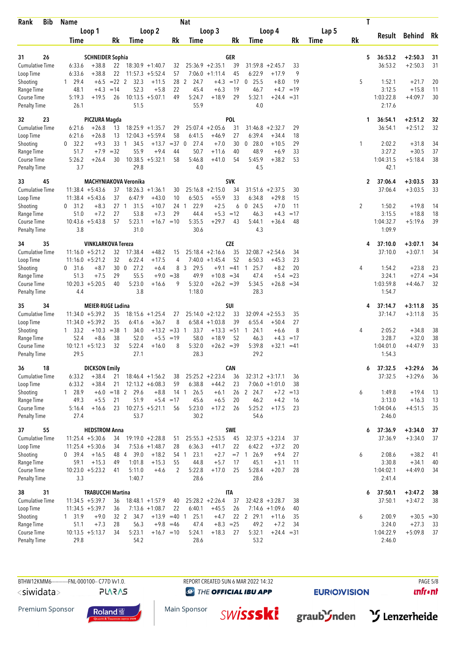| Rank                         | <b>Bib</b> | <b>Name</b>                              |                                           |                                            |                  | <b>Nat</b>                  |                        |            |                                 |                              |              |       | T            |                  |                    |              |
|------------------------------|------------|------------------------------------------|-------------------------------------------|--------------------------------------------|------------------|-----------------------------|------------------------|------------|---------------------------------|------------------------------|--------------|-------|--------------|------------------|--------------------|--------------|
|                              |            | Loop 1                                   |                                           | Loop 2                                     |                  |                             | Loop 3                 |            |                                 | Loop 4                       |              | Lap 5 |              | Result           | Behind Rk          |              |
|                              |            | Time                                     | Rk                                        | Time                                       | Rk               | Time                        |                        | Rk         | Time                            |                              | Rk           | Time  | Rk           |                  |                    |              |
|                              |            |                                          |                                           |                                            |                  |                             |                        | <b>GER</b> |                                 |                              |              |       | 5            | 36:53.2          | $+2:50.3$          |              |
| 31<br><b>Cumulative Time</b> | 26         | 6:33.6<br>$+38.8$                        | <b>SCHNEIDER Sophia</b>                   | $22$ 18:30.9 +1:40.7                       | 32               |                             | $25:36.9 +2:35.1$      | 39         | $31:59.8 + 2:45.7$              |                              | 33           |       |              | 36:53.2          | $+2:50.3$          | 31<br>31     |
| Loop Time                    |            | 6:33.6<br>$+38.8$                        | 22                                        | $11:57.3 + 5:52.4$                         | 57               |                             | $7:06.0 +1:11.4$       | 45         | 6:22.9                          | $+17.9$                      | 9            |       |              |                  |                    |              |
| Shooting                     |            | $1 \quad 29.4$                           | $+6.5$<br>$= 22$ 2                        | 32.3<br>$+11.5$                            | 28               | 2<br>24.7                   | $+4.3$                 | $=17$      | $0$ 25.5                        | $+8.0$                       | 19           |       | 5            | 1:52.1           | $+21.7$            | 20           |
| Range Time                   |            | 48.1                                     | $+4.3$<br>$=14$                           | 52.3<br>$+5.8$                             | 22               | 45.4                        | $+6.3$                 | 19         | 46.7                            | $+4.7$                       | $=19$        |       |              | 3:12.5           | $+15.8$            | 11           |
| Course Time                  |            | 5:19.3                                   | $+19.5$<br>26                             | $10:13.5 + 5:07.1$                         | 49               | 5:24.7                      | $+18.9$                | 29         | 5:32.1                          | +24.4                        | $= 31$       |       |              | 1:03:22.8        | $+4:09.7$          | 30           |
| <b>Penalty Time</b>          |            | 26.1                                     |                                           | 51.5                                       |                  | 55.9                        |                        |            | 4.0                             |                              |              |       |              | 2:17.6           |                    |              |
| 32                           | 23         |                                          | PICZURA Magda                             |                                            |                  |                             |                        | POL        |                                 |                              |              |       | 1            | 36:54.1          | $+2:51.2$          | 32           |
| <b>Cumulative Time</b>       |            | $+26.8$<br>6:21.6                        | 13                                        | $18:25.9 + 1:35.7$                         | 29               |                             | $25:07.4 +2:05.6$      | 31         | $31:46.8 + 2:32.7$              |                              | 29           |       |              | 36:54.1          | $+2:51.2$          | 32           |
| Loop Time                    |            | 6:21.6<br>$+26.8$                        | 13                                        | $12:04.3 + 5:59.4$                         | 58               | 6:41.5                      | $+46.9$                | 27         | 6:39.4                          | $+34.4$                      | 18           |       |              |                  |                    |              |
| Shooting<br>Range Time       |            | 0 32.2<br>51.7                           | 33<br>$+9.3$<br>-1<br>$=32$<br>$+7.9$     | 34.5<br>$+13.7$<br>55.9<br>$+9.4$          | $= 37$<br>44     | 27.4<br>$\mathbf 0$<br>50.7 | $+7.0$<br>$+11.6$      | 30<br>40   | 28.0<br>$\overline{0}$<br>48.9  | $+10.5$<br>$+6.9$            | 29<br>33     |       | 1            | 2:02.2<br>3:27.2 | $+31.8$<br>$+30.5$ | 34<br>37     |
| Course Time                  |            | 5:26.2<br>$+26.4$                        | 30                                        | $10:38.5 + 5:32.1$                         | 58               | 5:46.8                      | $+41.0$                | 54         | 5:45.9                          | $+38.2$                      | 53           |       |              | 1:04:31.5        | $+5:18.4$          | 38           |
| <b>Penalty Time</b>          |            | 3.7                                      |                                           | 29.8                                       |                  | 4.0                         |                        |            | 4.5                             |                              |              |       |              | 42.1             |                    |              |
| 33                           | 45         |                                          | MACHYNIAKOVA Veronika                     |                                            |                  |                             |                        | <b>SVK</b> |                                 |                              |              |       | $\mathbf{2}$ | 37:06.4          | $+3:03.5$          | 33           |
| <b>Cumulative Time</b>       |            | $11:38.4 + 5:43.6$                       | 37                                        | $18:26.3 + 1:36.1$                         | 30               |                             | $25:16.8 + 2:15.0$     | 34         | 31:51.6                         | $+2:37.5$                    | 30           |       |              | 37:06.4          | $+3:03.5$          | 33           |
| Loop Time                    |            | $11:38.4 + 5:43.6$                       | 37                                        | 6:47.9<br>$+43.0$                          | 10               | 6:50.5                      | $+55.9$                | 33         | 6:34.8                          | $+29.8$                      | 15           |       |              |                  |                    |              |
| Shooting                     |            | $0$ 31.2<br>51.0                         | $+8.3$<br>27 <sub>1</sub><br>$+7.2$<br>27 | 31.5<br>$+10.7$<br>53.8<br>$+7.3$          | 24 1<br>29       | 22.9<br>44.4                | $+2.5$<br>$+5.3 = 12$  | 6          | $0$ 24.5<br>46.3                | $+7.0$                       | 11<br>$=17$  |       | 2            | 1:50.2<br>3:15.5 | $+19.8$<br>$+18.8$ | 14<br>18     |
| Range Time<br>Course Time    |            | $10:43.6 + 5:43.8$                       | 57                                        | 5:23.1<br>$+16.7 = 10$                     |                  | 5:35.5                      | $+29.7$                | 43         | 5:44.1                          | $+4.3$<br>$+36.4$            | 48           |       |              | 1:04:32.7        | $+5:19.6$          | 39           |
| <b>Penalty Time</b>          |            | 3.8                                      |                                           | 31.0                                       |                  | 30.6                        |                        |            | 4.3                             |                              |              |       |              | 1:09.9           |                    |              |
| 34                           | 35         |                                          | <b>VINKLARKOVA Tereza</b>                 |                                            |                  |                             |                        | <b>CZE</b> |                                 |                              |              |       | 4            | 37:10.0          | $+3:07.1$          | 34           |
| <b>Cumulative Time</b>       |            | $11:16.0 + 5:21.2$                       | 32                                        | 17:38.4<br>$+48.2$                         | 15               |                             | $25:18.4 +2:16.6$      | 35         | $32:08.7 + 2:54.6$              |                              | 34           |       |              | 37:10.0          | $+3:07.1$          | 34           |
| Loop Time                    |            | $11:16.0 + 5:21.2$                       | 32                                        | 6:22.4<br>$+17.5$                          | 4                |                             | $7:40.0 + 1:45.4$      | 52         | 6:50.3                          | $+45.3$                      | 23           |       |              |                  |                    |              |
| Shooting<br>Range Time       |            | 0, 31.6<br>51.3                          | $+8.7$<br>30 <sub>0</sub><br>$+7.5$<br>29 | 27.2<br>$+6.4$<br>55.5                     | 8<br>$+9.0 = 38$ | 3<br>29.5<br>49.9           | $+9.1$<br>$+10.8 = 34$ | $=41$      | 25.7<br>$\overline{1}$<br>47.4  | $+8.2$<br>$+5.4$             | 20<br>$= 23$ |       | 4            | 1:54.2<br>3:24.1 | $+23.8$<br>$+27.4$ | 23<br>$= 34$ |
| Course Time                  |            | $10:20.3 + 5:20.5$                       | 40                                        | 5:23.0<br>$+16.6$                          | 9                | 5:32.0                      | $+26.2 = 39$           |            | 5:34.5                          | $+26.8$                      | $=34$        |       |              | 1:03:59.8        | $+4:46.7$          | 32           |
| <b>Penalty Time</b>          |            | 4.4                                      |                                           | 3.8                                        |                  | 1:18.0                      |                        |            | 28.3                            |                              |              |       |              | 1:54.7           |                    |              |
| 35                           | 34         |                                          | <b>MEIER-RUGE Ladina</b>                  |                                            |                  |                             |                        | SUI        |                                 |                              |              |       | 4            | 37:14.7          | $+3:11.8$          | 35           |
| <b>Cumulative Time</b>       |            | $11:34.0 + 5:39.2$                       | 35                                        | $18:15.6 + 1:25.4$                         | 27               |                             | $25:14.0 + 2:12.2$     | 33         | $32:09.4 + 2:55.3$              |                              | 35           |       |              | 37:14.7          | $+3:11.8$          | 35           |
| Loop Time                    |            | $11:34.0 + 5:39.2$                       | 35                                        | 6:41.6<br>$+36.7$                          | 8                |                             | $6:58.4 +1:03.8$       | 39         | 6:55.4                          | $+50.4$                      | 27           |       |              |                  |                    |              |
| Shooting<br>Range Time       |            | $1 \quad 33.2$<br>52.4                   | $=38$ 1<br>$+10.3$<br>$+8.6$<br>38        | 34.0<br>$+13.2 = 33$ 1<br>52.0<br>$+5.5$   | $=19$            | 33.7<br>58.0                | $+18.9$                | 52         | $+13.3 = 51 1 24.1$<br>46.3     | $+6.6$<br>$+4.3$             | 8<br>$=17$   |       | 4            | 2:05.2<br>3:28.7 | $+34.8$<br>$+32.0$ | 38<br>38     |
| Course Time                  |            | $10:12.1 + 5:12.3$                       | 32                                        | 5:22.4<br>$+16.0$                          | 8                | 5:32.0                      | $+26.2 = 39$           |            | 5:39.8                          | $+32.1$                      | $=41$        |       |              | 1:04:01.0        | $+4:47.9$          | 33           |
| <b>Penalty Time</b>          |            | 29.5                                     |                                           | 27.1                                       |                  | 28.3                        |                        |            | 29.2                            |                              |              |       |              | 1:54.3           |                    |              |
| 36                           | 18         |                                          | <b>DICKSON Emily</b>                      |                                            |                  |                             |                        | <b>CAN</b> |                                 |                              |              |       | 6            | 37:32.5          | $+3:29.6$          | 36           |
| <b>Cumulative Time</b>       |            | 6:33.2                                   | $+38.4$<br>21                             | $18:46.4 + 1:56.2$                         | 38               |                             | $25:25.2 + 2:23.4$     | 36         | $32:31.2 +3:17.1$               |                              | 36           |       |              | 37:32.5          | $+3:29.6$          | 36           |
| Loop Time<br>Shooting        |            | 6:33.2<br>1 28.9                         | $+38.4$<br>21<br>$+6.0 = 18$ 2            | $12:13.2 + 6:08.3$<br>29.6<br>$+8.8$       | 59               | 6:38.8<br>14 1<br>26.5      | $+44.2$<br>$+6.1$      | 23         | 26 2 24.7                       | $7:06.0 +1:01.0$<br>$+7.2$   | 38<br>$=13$  |       | 6            | 1:49.8           | $+19.4$            | 13           |
| Range Time                   |            | 49.3                                     | 21<br>$+5.5$                              | 51.9<br>$+5.4$                             | $=17$            | 45.6                        | $+6.5$                 | 20         | 46.2                            | $+4.2$                       | 16           |       |              | 3:13.0           | $+16.3$            | 13           |
| Course Time                  |            | 5:16.4<br>$+16.6$                        | 23                                        | $10:27.5 + 5:21.1$                         | 56               | 5:23.0                      | $+17.2$                | 26         | 5:25.2                          | $+17.5$                      | 23           |       |              | 1:04:04.6        | $+4:51.5$          | 35           |
| <b>Penalty Time</b>          |            | 27.4                                     |                                           | 53.7                                       |                  | 30.2                        |                        |            | 54.6                            |                              |              |       |              | 2:46.0           |                    |              |
| 37                           | 55         |                                          | <b>HEDSTROM Anna</b>                      |                                            |                  |                             |                        | <b>SWE</b> |                                 |                              |              |       | 6            | 37:36.9          | $+3:34.0$          | 37           |
| Cumulative Time              |            | $11:25.4 + 5:30.6$                       | 34                                        | $19:19.0 + 2:28.8$                         | 51               |                             | $25:55.3 + 2:53.5$     | 45         | $32:37.5 + 3:23.4$              |                              | 37           |       |              | 37:36.9          | $+3:34.0$          | 37           |
| Loop Time<br>Shooting        |            | $11:25.4 + 5:30.6$<br>$+16.5$<br>0, 39.4 | 34<br>48 4                                | $7:53.6 +1:48.7$<br>39.0<br>$+18.2$        | 28               | 6:36.3<br>23.1<br>54 1      | $+41.7$<br>$+2.7$      | 22         | 6:42.2<br>$= 7 \quad 1$<br>26.9 | $+37.2$<br>$+9.4$            | 20<br>27     |       | 6            | 2:08.6           | $+38.2$            | 41           |
| Range Time                   |            | $+15.3$<br>59.1                          | 49                                        | 1:01.8<br>$+15.3$                          | 55               | 44.8                        | $+5.7$                 | 17         | 45.1                            | $+3.1$                       | 11           |       |              | 3:30.8           | $+34.1$            | 40           |
| Course Time                  |            | $10:23.0 + 5:23.2$                       | 41                                        | 5:11.0<br>$+4.6$                           | 2                | 5:22.8                      | $+17.0$                | 25         | 5:28.4                          | $+20.7$                      | 28           |       |              | 1:04:02.1        | $+4:49.0$          | 34           |
| <b>Penalty Time</b>          |            | 3.3                                      |                                           | 1:40.7                                     |                  | 28.6                        |                        |            | 28.6                            |                              |              |       |              | 2:41.4           |                    |              |
| 38                           | 31         |                                          | <b>TRABUCCHI Martina</b>                  |                                            |                  |                             |                        | <b>ITA</b> |                                 |                              |              |       | 6            | 37:50.1          | $+3:47.2$          | 38           |
| <b>Cumulative Time</b>       |            | $11:34.5 + 5:39.7$                       | 36                                        | $18:48.1 + 1:57.9$                         | 40               |                             | $25:28.2 + 2:26.4$     | 37         | $32:42.8 + 3:28.7$              |                              | 38           |       |              | 37:50.1          | $+3:47.2$          | 38           |
| Loop Time<br>Shooting        |            | $11:34.5 + 5:39.7$                       | 36<br>$+9.0$<br>32 2                      | $7:13.6 +1:08.7$<br>34.7<br>$+13.9 = 40$ 1 | 22               | 6:40.1<br>25.1              | $+45.5$<br>$+4.7$      | 26         | 22 2 29.1                       | $7:14.6 + 1:09.6$<br>$+11.6$ | 40<br>35     |       |              | 2:00.9           | $+30.5 = 30$       |              |
| Range Time                   |            | 1 31.9<br>51.1                           | 28<br>$+7.3$                              | 56.3                                       | $+9.8 = 46$      | 47.4                        | $+8.3 = 25$            |            | 49.2                            | $+7.2$                       | 34           |       | 6            | 3:24.0           | $+27.3$            | 33           |
| Course Time                  |            | $10:13.5 + 5:13.7$                       | 34                                        | 5:23.1<br>$+16.7 = 10$                     |                  | 5:24.1                      | $+18.3$                | 27         | 5:32.1                          | $+24.4 = 31$                 |              |       |              | 1:04:22.9        | $+5:09.8$          | 37           |
| <b>Penalty Time</b>          |            | 29.8                                     |                                           | 54.2                                       |                  | 28.6                        |                        |            | 53.2                            |                              |              |       |              | 2:46.0           |                    |              |

**@** THE OFFICIAL IBU APP

**EURIO)VISION** 

 $unfront$ 

Premium Sponsor





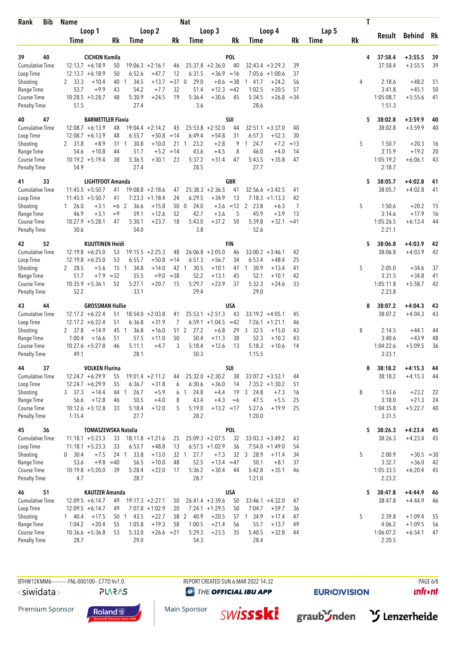| Rank                                | <b>Bib</b> | <b>Name</b>                                   |                            |                                     |            | <b>Nat</b>           |                                    |                  |                                        |          |             | T  |                     |                        |          |
|-------------------------------------|------------|-----------------------------------------------|----------------------------|-------------------------------------|------------|----------------------|------------------------------------|------------------|----------------------------------------|----------|-------------|----|---------------------|------------------------|----------|
|                                     |            | Loop 1                                        |                            | Loop 2                              |            |                      | Loop 3                             |                  | Loop 4                                 |          | Lap 5       |    |                     | Behind Rk              |          |
|                                     |            | Time                                          | Rk                         | Time                                | Rk         | Time                 |                                    | Rk               | Time                                   | Rk       | <b>Time</b> | Rk | Result              |                        |          |
|                                     |            |                                               |                            |                                     |            |                      |                                    |                  |                                        |          |             |    |                     |                        |          |
| 39                                  | 40         | <b>CICHON Kamila</b>                          |                            | $19:06.3 + 2:16.1$                  |            |                      |                                    | POL              |                                        |          |             | 4  | 37:58.4             | $+3:55.5$              | 39       |
| <b>Cumulative Time</b><br>Loop Time |            | $12:13.7 + 6:18.9$<br>$12:13.7 + 6:18.9$      | 50<br>50                   | 6:52.6<br>$+47.7$                   | 46<br>12   | 6:31.5               | $25:37.8 + 2:36.0$<br>$+36.9 = 16$ | 40               | $32:43.4 + 3:29.3$<br>$7:05.6 +1:00.6$ | 39<br>37 |             |    | 37:58.4             | $+3:55.5$              | 39       |
| Shooting                            |            | 2, 33.3<br>$+10.4$                            | 40<br>$\mathbf{1}$         | 34.5<br>$+13.7$                     | $=37$ 0    | 29.0                 | $+8.6 = 38$                        |                  | 141.7<br>$+24.2$                       | 56       |             | 4  | 2:18.6              | $+48.2$                | 51       |
| Range Time                          |            | $+9.9$<br>53.7                                | 43                         | 54.2<br>$+7.7$                      | 32         | 51.4                 | $+12.3$                            | $=42$            | 1:02.5<br>$+20.5$                      | 57       |             |    | 3:41.8              | $+45.1$                | 50       |
| Course Time                         |            | $10:28.5 + 5:28.7$                            | 48                         | 5:30.9<br>$+24.5$                   | 19         | 5:36.4               | $+30.6$                            | 45               | 5:34.5<br>$+26.8$                      | $= 34$   |             |    | 1:05:08.7           | $+5:55.6$              | 41       |
| <b>Penalty Time</b>                 |            | 51.5                                          |                            | 27.4                                |            | 3.6                  |                                    |                  | 28.6                                   |          |             |    | 1:51.3              |                        |          |
| 40                                  | 47         |                                               | <b>BARMETTLER Flavia</b>   |                                     |            |                      |                                    | SUI              |                                        |          |             | 5  | 38:02.8             | $+3:59.9$              | 40       |
| <b>Cumulative Time</b>              |            | $12:08.7 + 6:13.9$                            | 48                         | $19:04.4 + 2:14.2$                  | 45         |                      | $25:53.8 + 2:52.0$                 | 44               | $32:51.1 + 3:37.0$                     | 40       |             |    | 38:02.8             | $+3:59.9$              | 40       |
| Loop Time                           |            | $12:08.7 + 6:13.9$                            | 48                         | 6:55.7<br>$+50.8$                   | $=14$      | 6:49.4               | $+54.8$                            | 31               | 6:57.3<br>$+52.3$                      | 30       |             |    |                     |                        |          |
| Shooting                            |            | 2 31.8<br>$+8.9$                              | 31<br>$\overline{1}$       | 30.8<br>$+10.0$                     | 21         | 23.2<br>$\mathbf{1}$ | $+2.8$                             | 9                | 24.7<br>$+7.2$<br>$\mathbf{1}$         | $=13$    |             | 5  | 1:50.7              | $+20.3$                | 16       |
| Range Time                          |            | 54.6<br>$+10.8$                               | 44                         | 51.7<br>$+5.2 = 14$                 |            | 43.6                 | $+4.5$                             | 8                | 46.0<br>$+4.0$                         | 14       |             |    | 3:15.9              | $+19.2$                | 20       |
| Course Time                         |            | $10:19.2 + 5:19.4$                            | 38                         | 5:36.5<br>$+30.1$                   | 23         | 5:37.2               | $+31.4$                            | 47               | 5:43.5<br>$+35.8$                      | 47       |             |    | 1:05:19.2           | $+6:06.1$              | 43       |
| <b>Penalty Time</b>                 |            | 54.9                                          |                            | 27.4                                |            | 28.5                 |                                    |                  | 27.7                                   |          |             |    | 2:18.7              |                        |          |
| 41                                  | 33         |                                               | <b>LIGHTFOOT Amanda</b>    |                                     |            |                      |                                    | <b>GBR</b>       |                                        |          |             | 5  | 38:05.7             | $+4:02.8$              | 41       |
| <b>Cumulative Time</b>              |            | $11:45.5 + 5:50.7$                            | 41                         | $19:08.8 + 2:18.6$                  | 47         |                      | $25:38.3 +2:36.5$                  | 41               | $32:56.6 + 3:42.5$                     | 41       |             |    | 38:05.7             | $+4:02.8$              | 41       |
| Loop Time                           |            | $11:45.5 + 5:50.7$<br>$1\quad 26.0$<br>$+3.1$ | 41<br>$=6$ 2               | $7:23.3 +1:18.4$<br>36.6<br>$+15.8$ | 24<br>50 0 | 6:29.5<br>24.0       | $+34.9$<br>$+3.6$                  | 13<br>$=12$      | $7:18.3 +1:13.3$<br>2 23.8             | 42<br>7  |             | 5  | 1:50.6              | $+20.2$                | 15       |
| Shooting<br>Range Time              |            | 46.9<br>$+3.1$                                | $=9$                       | 59.1<br>$+12.6$                     | 52         | 42.7                 | $+3.6$                             | 5                | $+6.3$<br>45.9<br>$+3.9$               | 13       |             |    | 3:14.6              | $+17.9$                | 16       |
| Course Time                         |            | $10:27.9 + 5:28.1$                            | 47                         | 5:30.1<br>$+23.7$                   | 18         | 5:43.0               | $+37.2$                            | 50               | 5:39.8<br>$+32.1$                      | $=41$    |             |    | 1:05:26.5           | $+6:13.4$              | 44       |
| <b>Penalty Time</b>                 |            | 30.6                                          |                            | 54.0                                |            | 3.8                  |                                    |                  | 52.6                                   |          |             |    | 2:21.1              |                        |          |
| 42                                  | 52         | <b>KUUTTINEN Heidi</b>                        |                            |                                     |            |                      |                                    | FIN              |                                        |          |             | 5  | 38:06.8             | $+4:03.9$              | 42       |
| <b>Cumulative Time</b>              |            | $12:19.8 + 6:25.0$                            | 53                         | $19:15.5 + 2:25.3$                  | 48         |                      | $26:06.8 + 3:05.0$                 | 46               | $33:00.2 + 3:46.1$                     | 42       |             |    | 38:06.8             | $+4:03.9$              | 42       |
| Loop Time                           |            | $12:19.8 + 6:25.0$                            | 53                         | 6:55.7<br>$+50.8$                   | $=14$      | 6:51.3               | $+56.7$                            | 34               | 6:53.4<br>$+48.4$                      | 25       |             |    |                     |                        |          |
| Shooting                            |            | 2 28.5<br>$+5.6$                              | 15<br>$\overline{1}$       | 34.8<br>$+14.0$                     | 42 1       | 30.5                 | $+10.1$                            |                  | 30.9<br>$+13.4$<br>47 1                | 41       |             | 5  | 2:05.0              | $+34.6$                | 37       |
| Range Time                          |            | 51.7<br>$+7.9$                                | $=32$                      | 55.5<br>$+9.0$                      | $=38$      | 52.2                 | $+13.1$                            | 45               | 52.1<br>$+10.1$                        | 42       |             |    | 3:31.5              | $+34.8$                | 41       |
| Course Time                         |            | $10:35.9 + 5:36.1$                            | 52                         | 5:27.1<br>$+20.7$                   | 15         | 5:29.7               | $+23.9$                            | 37               | 5:32.3<br>$+24.6$                      | 33       |             |    | 1:05:11.8           | $+5:58.7$              | 42       |
| <b>Penalty Time</b>                 |            | 52.2                                          |                            | 33.1                                |            | 29.4                 |                                    |                  | 29.0                                   |          |             |    | 2:23.8              |                        |          |
| 43                                  | 44         | <b>GROSSMAN Hallie</b>                        |                            |                                     |            |                      |                                    | USA              |                                        |          |             | 8  | 38:07.2             | $+4:04.3$              | 43       |
| Cumulative Time                     |            | $12:17.2 + 6:22.4$                            | 51                         | $18:54.0 + 2:03.8$                  | 41         |                      | $25:53.1 + 2:51.3$                 | 43               | $33:19.2 + 4:05.1$                     | 45       |             |    | 38:07.2             | $+4:04.3$              | 43       |
| Loop Time                           |            | $12:17.2 + 6:22.4$                            | 51                         | 6:36.8<br>$+31.9$                   | 7          |                      | $6:59.1 +1:04.5 = 42$              |                  | $7:26.1 + 1:21.1$                      | 46       |             |    |                     |                        |          |
| Shooting                            |            | 2 37.8<br>$+14.9$                             | 45 1                       | 36.8<br>$+16.0$                     |            | 51 2<br>27.2         | $+6.8$                             | 29               | 3 32.5<br>$+15.0$                      | 43       |             | 8  | 2:14.5              | $+44.1$                | 44       |
| Range Time<br>Course Time           |            | 1:00.4<br>$+16.6$<br>$10:27.6 + 5:27.8$       | 51<br>46                   | 57.5<br>$+11.0$<br>5:11.1<br>$+4.7$ | 50<br>3    | 50.4<br>5:18.4       | $+11.3$<br>$+12.6$                 | 38<br>13         | 52.3<br>$+10.3$<br>5:18.3<br>$+10.6$   | 43<br>14 |             |    | 3:40.6<br>1:04:22.6 | $+43.9$<br>$+5:09.5$   | 48<br>36 |
| <b>Penalty Time</b>                 |            | 49.1                                          |                            | 28.1                                |            | 50.3                 |                                    |                  | 1:15.5                                 |          |             |    | 3:23.1              |                        |          |
|                                     |            |                                               |                            |                                     |            |                      |                                    |                  |                                        |          |             |    |                     |                        |          |
| 44<br>Cumulative Time               | 37         | <b>VOLKEN Flurina</b><br>$12:24.7 + 6:29.9$   | 55                         | $19:01.4 +2:11.2$                   | 44         |                      | $25:32.0 + 2:30.2$                 | SUI<br>38        | $33:07.2 + 3:53.1$                     | 44       |             | 8  | 38:18.2<br>38:18.2  | $+4:15.3$<br>$+4:15.3$ | 44<br>44 |
| Loop Time                           |            | $12:24.7 + 6:29.9$                            | 55                         | 6:36.7<br>$+31.8$                   | 6          | 6:30.6               | $+36.0$                            | 14               | $7:35.2 +1:30.2$                       | 51       |             |    |                     |                        |          |
| Shooting                            |            | 3, 37.3<br>$+14.4$                            | 44 1                       | 26.7<br>$+5.9$                      | 6          | 24.8<br>$\mathbf{1}$ | $+4.4$                             | 19               | 3 24.8<br>$+7.3$                       | 16       |             | 8  | 1:53.6              | $+23.2$                | 22       |
| Range Time                          |            | $+12.8$<br>56.6                               | 46                         | 50.5<br>$+4.0$                      | 8          | 43.4                 | $+4.3$                             | $=6$             | 47.5<br>$+5.5$                         | 25       |             |    | 3:18.0              | $+21.3$                | 24       |
| Course Time                         |            | $10:12.6 + 5:12.8$                            | 33                         | 5:18.4<br>$+12.0$                   | 5          | 5:19.0               | $+13.2 = 17$                       |                  | 5:27.6<br>$+19.9$                      | 25       |             |    | 1:04:35.8           | $+5:22.7$              | 40       |
| Penalty Time                        |            | 1:15.4                                        |                            | 27.7                                |            | 28.2                 |                                    |                  | 1:20.0                                 |          |             |    | 3:31.5              |                        |          |
| 45                                  | 36         |                                               | <b>TOMASZEWSKA Natalia</b> |                                     |            |                      |                                    | POL              |                                        |          |             | 5  | 38:26.3             | $+4:23.4$              | 45       |
| <b>Cumulative Time</b>              |            | $11:18.1 + 5:23.3$                            | 33                         | $18:11.8 + 1:21.6$                  | 25         |                      | $25:09.3 + 2:07.5$                 | 32               | $33:03.3 + 3:49.2$                     | 43       |             |    | 38:26.3             | $+4:23.4$              | 45       |
| Loop Time                           |            | $11:18.1 + 5:23.3$                            | 33                         | 6:53.7<br>$+48.8$                   | 13         |                      | $6:57.5 +1:02.9$                   | 36               | $7:54.0 +1:49.0$                       | 54       |             |    |                     |                        |          |
| Shooting                            |            | 0, 30.4<br>$+7.5$                             | 24 <sub>1</sub>            | 33.8<br>$+13.0$                     |            | 27.7<br>32 1         | $+7.3$                             | 32               | 3 28.9<br>$+11.4$                      | 34       |             | 5  | 2:00.9              | $+30.5$                | $=30$    |
| Range Time                          |            | $+9.8$<br>53.6                                | $=40$                      | 56.5<br>$+10.0$                     | 48         | 52.5                 | $+13.4 = 47$                       |                  | 50.1<br>$+8.1$                         | 37       |             |    | 3:32.7              | $+36.0$                | 42<br>45 |
| Course Time<br><b>Penalty Time</b>  |            | $10:19.8 + 5:20.0$<br>4.7                     | 39                         | 5:28.4<br>$+22.0$<br>28.7           | 17         | 5:36.2<br>28.7       | $+30.4$                            | 44               | 5:42.8<br>$+35.1$<br>1:21.0            | 46       |             |    | 1:05:33.5<br>2:23.2 | $+6:20.4$              |          |
|                                     |            |                                               |                            |                                     |            |                      |                                    |                  |                                        |          |             |    |                     |                        |          |
| 46<br><b>Cumulative Time</b>        | 51         | <b>KAUTZER Amanda</b><br>$12:09.5 + 6:14.7$   | 49                         | $19:17.3 + 2:27.1$                  | 50         |                      | $26:41.4 + 3:39.6$                 | <b>USA</b><br>50 | $33:46.1 + 4:32.0$                     | 47       |             | 5  | 38:47.8<br>38:47.8  | $+4:44.9$<br>$+4:44.9$ | 46<br>46 |
| Loop Time                           |            | $12:09.5 + 6:14.7$                            | 49                         | $7:07.8 + 1:02.9$                   | 20         |                      | $7:24.1 + 1:29.5$                  | 50               | 7:04.7<br>$+59.7$                      | 36       |             |    |                     |                        |          |
| Shooting                            |            | $+17.5$<br>140.4                              | 50 1 43.5                  | $+22.7$                             |            | 58 2<br>40.9         | $+20.5$                            |                  | 57 1 34.9<br>$+17.4$                   | 47       |             | 5  | 2:39.8              | $+1:09.4$              | 55       |
| Range Time                          |            | $+20.4$<br>1:04.2                             | 55                         | $+19.3$<br>1:05.8                   | 58         | 1:00.5               | $+21.4$                            | 56               | 55.7<br>$+13.7$                        | 49       |             |    | 4:06.2              | $+1:09.5$              | 56       |
| Course Time                         |            | $10:36.6 + 5:36.8$                            | 53                         | 5:33.0<br>$+26.6 = 21$              |            | 5:29.3               | $+23.5$                            | 35               | 5:40.5<br>$+32.8$                      | 44       |             |    | 1:06:07.2           | $+6:54.1$              | 47       |
| Penalty Time                        |            | 28.7                                          |                            | 29.0                                |            | 54.3                 |                                    |                  | 28.4                                   |          |             |    | 2:20.5              |                        |          |

**PLARAS** 

**@** THE OFFICIAL IBU APP

Main Sponsor

**EURIO)VISION** 

 $unfront$ 

Premium Sponsor







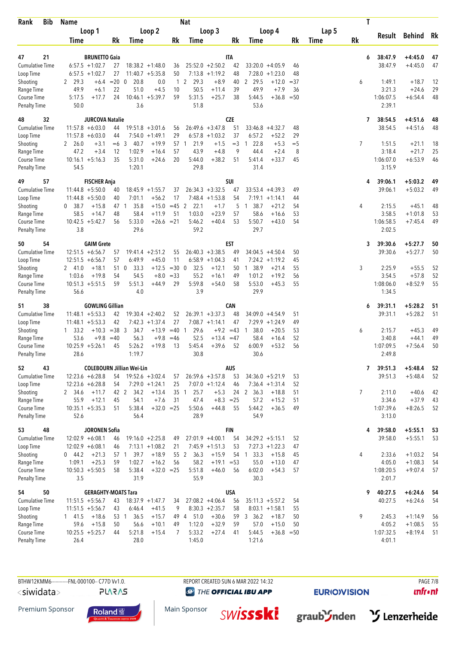| <b>Bib</b><br>Rank                  | <b>Name</b>                              |                                  |                                                     | Nat                                        |                   |                                                        |             |       | T              |                     |               |    |
|-------------------------------------|------------------------------------------|----------------------------------|-----------------------------------------------------|--------------------------------------------|-------------------|--------------------------------------------------------|-------------|-------|----------------|---------------------|---------------|----|
|                                     | Loop 1                                   |                                  | Loop 2                                              | Loop 3                                     |                   | Loop 4                                                 |             | Lap 5 |                | Result              | <b>Behind</b> | Rk |
|                                     | Time                                     | <b>Rk</b><br>Time                | Rk                                                  | Time                                       | Rk                | Time                                                   | Rk          | Time  | <b>Rk</b>      |                     |               |    |
| 47<br>21                            | <b>BRUNETTO Gaia</b>                     |                                  |                                                     |                                            | <b>ITA</b>        |                                                        |             |       | 6              | 38:47.9             | $+4:45.0$     | 47 |
| <b>Cumulative Time</b>              | $6:57.5 +1:02.7$                         | 27                               | $18:38.2 + 1:48.0$<br>36                            | $25:52.0 + 2:50.2$                         | 42                | $33:20.0 + 4:05.9$                                     | 46          |       |                | 38:47.9             | $+4:45.0$     | 47 |
| Loop Time                           | $6:57.5 +1:02.7$                         | 27                               | $11:40.7 + 5:35.8$<br>50                            | $7:13.8 +1:19.2$                           | 48                | $7:28.0 + 1:23.0$                                      | 48          |       |                |                     |               |    |
| Shooting                            | 2 29.3<br>$+6.4$                         | $= 20 \ 0$<br>20.8               | 0.0                                                 | $1\quad2$<br>29.3<br>$+8.9$                | 40                | 2 29.5<br>$+12.0$                                      | $=37$       |       | 6              | 1:49.1              | $+18.7$       | 12 |
| Range Time                          | 49.9<br>$+6.1$                           | 22<br>51.0                       | 10<br>$+4.5$                                        | 50.5<br>$+11.4$                            | 39                | 49.9<br>$+7.9$                                         | 36          |       |                | 3:21.3              | $+24.6$       | 29 |
| Course Time<br><b>Penalty Time</b>  | 5:17.5<br>$+17.7$<br>50.0                | 24<br>10:46.1<br>3.6             | $+5:39.7$<br>59                                     | 5:31.5<br>$+25.7$<br>51.8                  | 38                | 5:44.5<br>$+36.8 = 50$<br>53.6                         |             |       |                | 1:06:07.5<br>2:39.1 | $+6:54.4$     | 48 |
| 32<br>48                            | <b>JURCOVA Natalie</b>                   |                                  |                                                     |                                            | <b>CZE</b>        |                                                        |             |       | 7              | 38:54.5             | $+4:51.6$     | 48 |
| <b>Cumulative Time</b>              | $11:57.8 + 6:03.0$                       | 44                               | $19:51.8 + 3:01.6$<br>56                            | $26:49.6 + 3:47.8$                         | 51                | $33:46.8 + 4:32.7$                                     | 48          |       |                | 38:54.5             | $+4:51.6$     | 48 |
| Loop Time<br>Shooting               | $11:57.8 + 6:03.0$<br>2 26.0<br>$+3.1$   | 44<br>40.7<br>$=6$ 3             | $7:54.0 + 1:49.1$<br>29<br>$+19.9$                  | $6:57.8 +1:03.2$<br>21.9<br>57 1<br>$+1.5$ | 37<br>$=$ 3       | $+52.2$<br>6:57.2<br>22.8<br>$+5.3$<br>$\mathbf{1}$    | 29<br>$=$ 5 |       | $\overline{7}$ | 1:51.5              | $+21.1$       | 18 |
| Range Time                          | 47.2<br>$+3.4$                           | 12<br>1:02.9                     | 57<br>$+16.4$                                       | $+4.8$<br>43.9                             | 9                 | 44.4<br>$+2.4$                                         | 8           |       |                | 3:18.4              | $+21.7$       | 25 |
| Course Time                         | $10:16.1 + 5:16.3$                       | 35<br>5:31.0                     | 20<br>$+24.6$                                       | 5:44.0<br>$+38.2$                          | 51                | 5:41.4<br>$+33.7$                                      | 45          |       |                | 1:06:07.0           | $+6:53.9$     | 46 |
| Penalty Time                        | 54.5                                     | 1:20.1                           |                                                     | 29.8                                       |                   | 31.4                                                   |             |       |                | 3:15.9              |               |    |
| 49<br>57                            | <b>FISCHER Anja</b>                      |                                  |                                                     |                                            | SUI               |                                                        |             |       | 4              | 39:06.1             | $+5:03.2$     | 49 |
| <b>Cumulative Time</b><br>Loop Time | $11:44.8 + 5:50.0$<br>$11:44.8 + 5:50.0$ | 40<br>40<br>7:01.1               | $18:45.9 + 1:55.7$<br>37<br>$+56.2$<br>17           | $26:34.3 + 3:32.5$<br>$7:48.4 +1:53.8$     | 47<br>54          | $33:53.4 +4:39.3$<br>$7:19.1 + 1:14.1$                 | 49<br>44    |       |                | 39:06.1             | $+5:03.2$     | 49 |
| Shooting                            | 0 38.7<br>$+15.8$                        | 35.8<br>47 1                     | $+15.0 = 45$                                        | 22.1<br>2<br>$+1.7$                        | 5                 | 38.7<br>$+21.2$<br>$\mathbf{1}$                        | 54          |       | 4              | 2:15.5              | $+45.1$       | 48 |
| Range Time                          | 58.5<br>$+14.7$                          | 48<br>58.4                       | $+11.9$<br>51                                       | 1:03.0<br>$+23.9$                          | 57                | 58.6<br>$+16.6$                                        | 53          |       |                | 3:58.5              | $+1:01.8$     | 53 |
| Course Time                         | $10:42.5 + 5:42.7$                       | 5:33.0<br>56                     | $+26.6 = 21$                                        | 5:46.2<br>$+40.4$                          | 53                | 5:50.7<br>$+43.0$                                      | 54          |       |                | 1:06:58.5           | $+7:45.4$     | 49 |
| <b>Penalty Time</b>                 | 3.8                                      | 29.6                             |                                                     | 59.2                                       |                   | 29.7                                                   |             |       |                | 2:02.5              |               |    |
| 54<br>50                            | <b>GAIM Grete</b>                        |                                  |                                                     |                                            | <b>EST</b>        |                                                        |             |       | 3              | 39:30.6             | $+5:27.7$     | 50 |
| <b>Cumulative Time</b>              | $12:51.5 + 6:56.7$                       | 57                               | $19:41.4 + 2:51.2$<br>55                            | $26:40.3 + 3:38.5$                         | 49                | $34:04.5 + 4:50.4$                                     | 50          |       |                | 39:30.6             | $+5:27.7$     | 50 |
| Loop Time<br>Shooting               | $12:51.5 + 6:56.7$<br>$+18.1$<br>2, 41.0 | 57<br>6:49.9<br>33.3<br>510      | $+45.0$<br>11<br>$+12.5$<br>$=30$ 0                 | $6:58.9 +1:04.3$<br>32.5<br>$+12.1$        | 41<br>50          | $7:24.2 +1:19.2$<br>1 38.9<br>$+21.4$                  | 45<br>55    |       | 3              | 2:25.9              | $+55.5$       | 52 |
| Range Time                          | 1:03.6<br>$+19.8$                        | 54<br>54.5                       | $+8.0$<br>$=33$                                     | 55.2<br>$+16.1$                            | 49                | 1:01.2<br>$+19.2$                                      | 56          |       |                | 3:54.5              | $+57.8$       | 52 |
| Course Time                         | $10:51.3 + 5:51.5$                       | 59<br>5:51.3                     | 29<br>$+44.9$                                       | 5:59.8<br>$+54.0$                          | 58                | 5:53.0<br>$+45.3$                                      | 55          |       |                | 1:08:06.0           | $+8:52.9$     | 55 |
| <b>Penalty Time</b>                 | 56.6                                     | 4.0                              |                                                     | 3.9                                        |                   | 29.9                                                   |             |       |                | 1:34.5              |               |    |
| 38<br>51                            | <b>GOWLING Gillian</b>                   |                                  |                                                     |                                            | CAN               |                                                        |             |       | 6              | 39:31.1             | $+5:28.2$     | 51 |
| <b>Cumulative Time</b>              | $11:48.1 + 5:53.3$                       | 42                               | $19:30.4 +2:40.2$<br>52                             | $26:39.1 + 3:37.3$                         | 48                | $34:09.0 + 4:54.9$                                     | 51          |       |                | 39:31.1             | $+5:28.2$     | 51 |
| Loop Time<br>Shooting               | $11:48.1 + 5:53.3$<br>$1 \quad 33.2$     | 42<br>$+10.3 = 38.3$<br>34.7     | $7:42.3 +1:37.4$<br>27<br>$+13.9 = 40$ 1            | $7:08.7 +1:14.1$<br>29.6                   | 47<br>$+9.2 = 43$ | $7:29.9 + 1:24.9$<br>38.0<br>$+20.5$<br>$\overline{1}$ | 49<br>53    |       | 6              | 2:15.7              | $+45.3$       | 49 |
| Range Time                          | 53.6<br>$+9.8$                           | $=40$<br>56.3                    | $+9.8$<br>$=46$                                     | 52.5<br>$+13.4 = 47$                       |                   | 58.4<br>$+16.4$                                        | 52          |       |                | 3:40.8              | $+44.1$       | 49 |
| Course Time                         | $10:25.9 + 5:26.1$                       | 5:26.2<br>45                     | $+19.8$<br>13                                       | 5:45.4<br>$+39.6$                          | 52                | 6:00.9<br>$+53.2$                                      | 56          |       |                | 1:07:09.5           | $+7:56.4$     | 50 |
| <b>Penalty Time</b>                 | 28.6                                     | 1:19.7                           |                                                     | 30.8                                       |                   | 30.6                                                   |             |       |                | 2:49.8              |               |    |
| 52<br>43                            |                                          | <b>COLEBOURN Jillian Wei-Lin</b> |                                                     |                                            | <b>AUS</b>        |                                                        |             |       | 7              | 39:51.3             | $+5:48.4$     | 52 |
| <b>Cumulative Time</b><br>Loop Time | $12:23.6 + 6:28.8$<br>$12:23.6 + 6:28.8$ | 54<br>54                         | $19:52.6 + 3:02.4$<br>57<br>$7:29.0 +1:24.1$<br>25  | $26:59.6 + 3:57.8$<br>$7:07.0 +1:12.4$     | 53<br>46          | $34:36.0 + 5:21.9$<br>$7:36.4 +1:31.4$                 | 53<br>52    |       |                | 39:51.3             | $+5:48.4$     | 52 |
| Shooting                            | $+11.7$<br>2 34.6                        | 42 2<br>34.2                     | $+13.4$                                             | 35 1<br>25.7<br>$+5.3$                     |                   | 24 2 36.3<br>$+18.8$                                   | 51          |       | $\overline{7}$ | 2:11.0              | $+40.6$       | 42 |
| Range Time                          | $+12.1$<br>55.9                          | 45<br>54.1                       | 31<br>$+7.6$                                        | 47.4                                       | $+8.3 = 25$       | $+15.2$<br>57.2                                        | 51          |       |                | 3:34.6              | $+37.9$       | 43 |
| Course Time                         | $10:35.1 + 5:35.3$                       | 5:38.4<br>51                     | $+32.0 = 25$                                        | 5:50.6<br>$+44.8$                          | 55                | 5:44.2<br>$+36.5$                                      | 49          |       |                | 1:07:39.6           | $+8:26.5$     | 52 |
| Penalty Time                        | 52.6                                     | 56.4                             |                                                     | 28.9                                       |                   | 54.9                                                   |             |       |                | 3:13.0              |               |    |
| 48<br>53                            | <b>JORONEN Sofia</b>                     |                                  |                                                     |                                            | <b>FIN</b>        |                                                        |             |       | 4              | 39:58.0             | $+5:55.1$     | 53 |
| <b>Cumulative Time</b>              | $12:02.9 + 6:08.1$<br>$12:02.9 + 6:08.1$ | 46<br>46                         | $19:16.0 + 2:25.8$<br>49<br>$7:13.1 + 1:08.2$<br>21 | $27:01.9 +4:00.1$<br>$7:45.9 +1:51.3$      | 54<br>53          | $34:29.2 + 5:15.1$<br>$7:27.3 +1:22.3$                 | 52<br>47    |       |                | 39:58.0             | $+5:55.1$     | 53 |
| Loop Time<br>Shooting               | $+21.3$<br>$0$ 44.2                      | 39.7<br>57 <sub>1</sub>          | $+18.9$                                             | 55 2<br>36.3<br>$+15.9$                    | 54                | 33.3<br>$+15.8$<br>$\overline{1}$                      | 45          |       | 4              | 2:33.6              | $+1:03.2$     | 54 |
| Range Time                          | $+25.3$<br>1:09.1                        | 1:02.7<br>59                     | $+16.2$<br>56                                       | 58.2<br>$+19.1$                            | $= 53$            | 55.0<br>$+13.0$                                        | 47          |       |                | 4:05.0              | $+1:08.3$     | 54 |
| Course Time                         | $10:50.3 + 5:50.5$                       | 5:38.4<br>58                     | $+32.0 = 25$                                        | 5:51.8<br>$+46.0$                          | 56                | 6:02.0<br>$+54.3$                                      | 57          |       |                | 1:08:20.5           | $+9:07.4$     | 57 |
| Penalty Time                        | 3.5                                      | 31.9                             |                                                     | 55.9                                       |                   | 30.3                                                   |             |       |                | 2:01.7              |               |    |
| 50<br>54                            |                                          | <b>GERAGHTY-MOATS Tara</b>       |                                                     |                                            | <b>USA</b>        |                                                        |             |       | 9              | 40:27.5             | $+6:24.6$     | 54 |
| <b>Cumulative Time</b>              | $11:51.5 + 5:56.7$                       | 43<br>6:46.4                     | $18:37.9 + 1:47.7$<br>34                            | $27:08.2 +4:06.4$                          | 56                | $35:11.3 + 5:57.2$                                     | 54          |       |                | 40:27.5             | $+6:24.6$     | 54 |
| Loop Time<br>Shooting               | $11:51.5 + 5:56.7$<br>$+18.6$<br>1 41.5  | 43<br>53 1<br>36.5               | $+41.5$<br>9<br>$+15.7$                             | $8:30.3 +2:35.7$<br>494<br>51.0<br>$+30.6$ | 58                | $8:03.1 + 1:58.1$<br>59 3 36.2<br>$+18.7$              | 55<br>50    |       | 9              | 2:45.3              | $+1:14.9$     | 56 |
| Range Time                          | 59.6<br>$+15.8$                          | 50<br>56.6                       | $+10.1$<br>49                                       | 1:12.0<br>$+32.9$                          | 59                | $+15.0$<br>57.0                                        | 50          |       |                | 4:05.2              | $+1:08.5$     | 55 |
| Course Time                         | $10:25.5 + 5:25.7$                       | 44<br>5:21.8                     | $\overline{7}$<br>$+15.4$                           | 5:33.2<br>$+27.4$                          | 41                | 5:44.5<br>$+36.8 = 50$                                 |             |       |                | 1:07:32.5           | $+8:19.4$     | 51 |
| Penalty Time                        | 26.4                                     | 28.0                             |                                                     | 1:45.0                                     |                   | 1:21.6                                                 |             |       |                | 4:01.1              |               |    |

**PLARAS** 

**@** THE OFFICIAL IBU APP

**EURIO)VISION** 

 $unfront$ 

Premium Sponsor